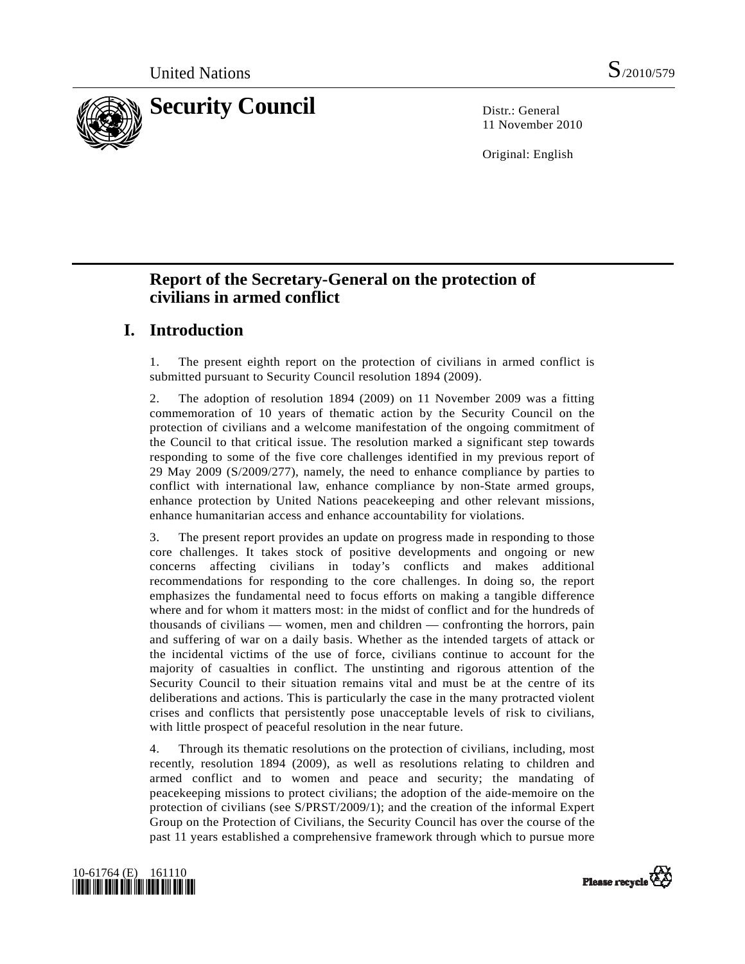

11 November 2010

Original: English

# **Report of the Secretary-General on the protection of civilians in armed conflict**

# **I. Introduction**

1. The present eighth report on the protection of civilians in armed conflict is submitted pursuant to Security Council resolution 1894 (2009).

2. The adoption of resolution 1894 (2009) on 11 November 2009 was a fitting commemoration of 10 years of thematic action by the Security Council on the protection of civilians and a welcome manifestation of the ongoing commitment of the Council to that critical issue. The resolution marked a significant step towards responding to some of the five core challenges identified in my previous report of 29 May 2009 (S/2009/277), namely, the need to enhance compliance by parties to conflict with international law, enhance compliance by non-State armed groups, enhance protection by United Nations peacekeeping and other relevant missions, enhance humanitarian access and enhance accountability for violations.

3. The present report provides an update on progress made in responding to those core challenges. It takes stock of positive developments and ongoing or new concerns affecting civilians in today's conflicts and makes additional recommendations for responding to the core challenges. In doing so, the report emphasizes the fundamental need to focus efforts on making a tangible difference where and for whom it matters most: in the midst of conflict and for the hundreds of thousands of civilians — women, men and children — confronting the horrors, pain and suffering of war on a daily basis. Whether as the intended targets of attack or the incidental victims of the use of force, civilians continue to account for the majority of casualties in conflict. The unstinting and rigorous attention of the Security Council to their situation remains vital and must be at the centre of its deliberations and actions. This is particularly the case in the many protracted violent crises and conflicts that persistently pose unacceptable levels of risk to civilians, with little prospect of peaceful resolution in the near future.

4. Through its thematic resolutions on the protection of civilians, including, most recently, resolution 1894 (2009), as well as resolutions relating to children and armed conflict and to women and peace and security; the mandating of peacekeeping missions to protect civilians; the adoption of the aide-memoire on the protection of civilians (see S/PRST/2009/1); and the creation of the informal Expert Group on the Protection of Civilians, the Security Council has over the course of the past 11 years established a comprehensive framework through which to pursue more



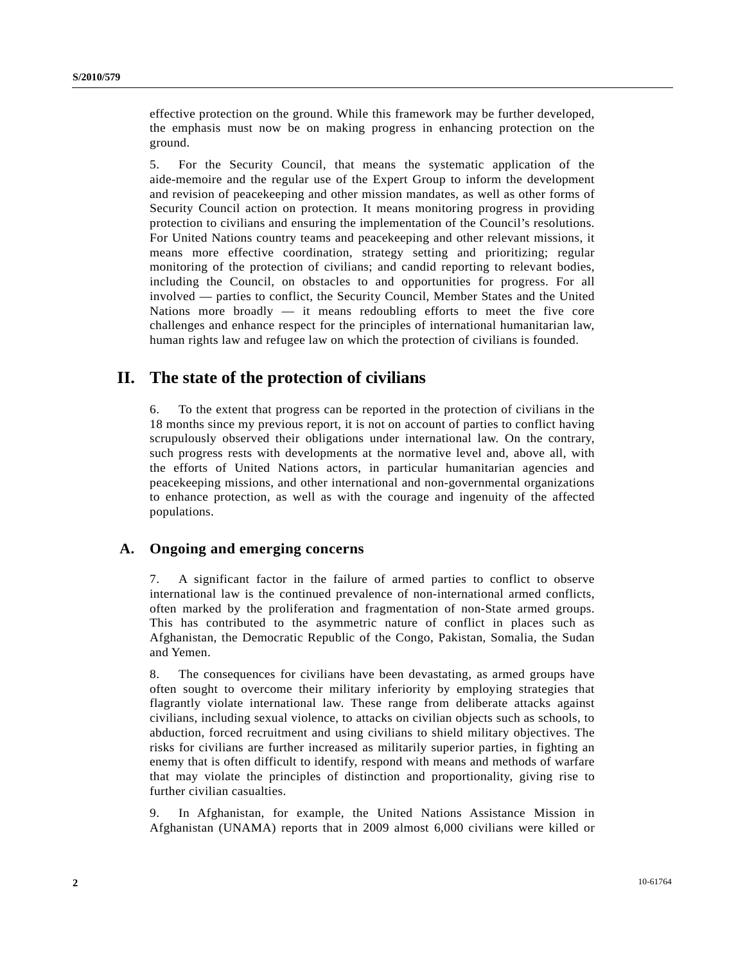effective protection on the ground. While this framework may be further developed, the emphasis must now be on making progress in enhancing protection on the ground.

5. For the Security Council, that means the systematic application of the aide-memoire and the regular use of the Expert Group to inform the development and revision of peacekeeping and other mission mandates, as well as other forms of Security Council action on protection. It means monitoring progress in providing protection to civilians and ensuring the implementation of the Council's resolutions. For United Nations country teams and peacekeeping and other relevant missions, it means more effective coordination, strategy setting and prioritizing; regular monitoring of the protection of civilians; and candid reporting to relevant bodies, including the Council, on obstacles to and opportunities for progress. For all involved — parties to conflict, the Security Council, Member States and the United Nations more broadly — it means redoubling efforts to meet the five core challenges and enhance respect for the principles of international humanitarian law, human rights law and refugee law on which the protection of civilians is founded.

## **II. The state of the protection of civilians**

6. To the extent that progress can be reported in the protection of civilians in the 18 months since my previous report, it is not on account of parties to conflict having scrupulously observed their obligations under international law. On the contrary, such progress rests with developments at the normative level and, above all, with the efforts of United Nations actors, in particular humanitarian agencies and peacekeeping missions, and other international and non-governmental organizations to enhance protection, as well as with the courage and ingenuity of the affected populations.

### **A. Ongoing and emerging concerns**

7. A significant factor in the failure of armed parties to conflict to observe international law is the continued prevalence of non-international armed conflicts, often marked by the proliferation and fragmentation of non-State armed groups. This has contributed to the asymmetric nature of conflict in places such as Afghanistan, the Democratic Republic of the Congo, Pakistan, Somalia, the Sudan and Yemen.

8. The consequences for civilians have been devastating, as armed groups have often sought to overcome their military inferiority by employing strategies that flagrantly violate international law. These range from deliberate attacks against civilians, including sexual violence, to attacks on civilian objects such as schools, to abduction, forced recruitment and using civilians to shield military objectives. The risks for civilians are further increased as militarily superior parties, in fighting an enemy that is often difficult to identify, respond with means and methods of warfare that may violate the principles of distinction and proportionality, giving rise to further civilian casualties.

9. In Afghanistan, for example, the United Nations Assistance Mission in Afghanistan (UNAMA) reports that in 2009 almost 6,000 civilians were killed or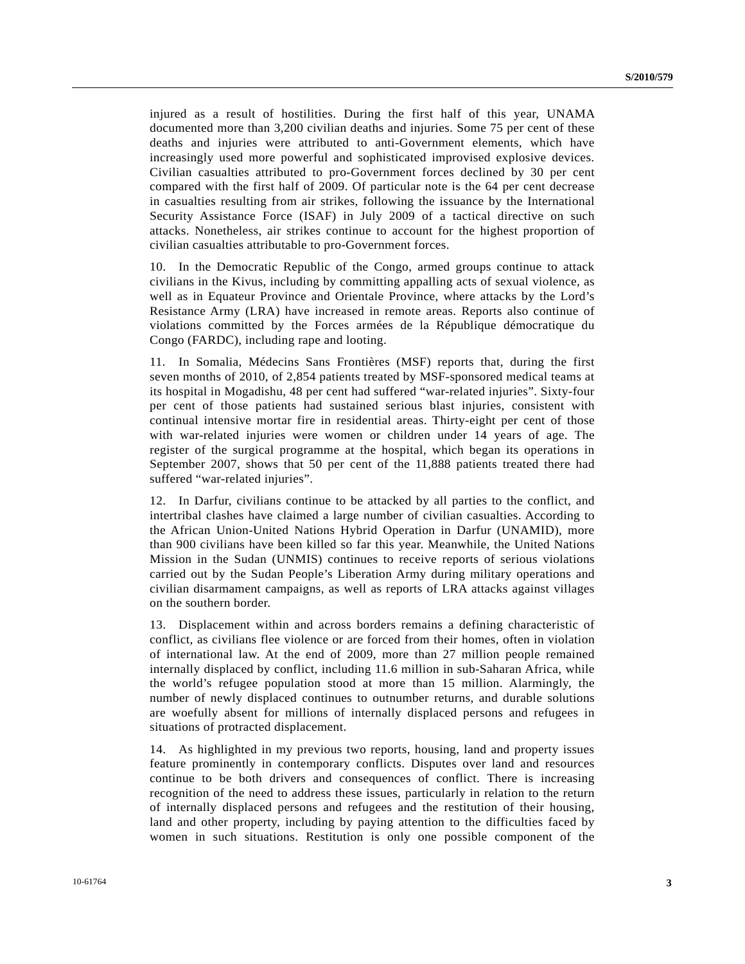injured as a result of hostilities. During the first half of this year, UNAMA documented more than 3,200 civilian deaths and injuries. Some 75 per cent of these deaths and injuries were attributed to anti-Government elements, which have increasingly used more powerful and sophisticated improvised explosive devices. Civilian casualties attributed to pro-Government forces declined by 30 per cent compared with the first half of 2009. Of particular note is the 64 per cent decrease in casualties resulting from air strikes, following the issuance by the International Security Assistance Force (ISAF) in July 2009 of a tactical directive on such attacks. Nonetheless, air strikes continue to account for the highest proportion of civilian casualties attributable to pro-Government forces.

10. In the Democratic Republic of the Congo, armed groups continue to attack civilians in the Kivus, including by committing appalling acts of sexual violence, as well as in Equateur Province and Orientale Province, where attacks by the Lord's Resistance Army (LRA) have increased in remote areas. Reports also continue of violations committed by the Forces armées de la République démocratique du Congo (FARDC), including rape and looting.

11. In Somalia, Médecins Sans Frontières (MSF) reports that, during the first seven months of 2010, of 2,854 patients treated by MSF-sponsored medical teams at its hospital in Mogadishu, 48 per cent had suffered "war-related injuries". Sixty-four per cent of those patients had sustained serious blast injuries, consistent with continual intensive mortar fire in residential areas. Thirty-eight per cent of those with war-related injuries were women or children under 14 years of age. The register of the surgical programme at the hospital, which began its operations in September 2007, shows that 50 per cent of the 11,888 patients treated there had suffered "war-related injuries".

12. In Darfur, civilians continue to be attacked by all parties to the conflict, and intertribal clashes have claimed a large number of civilian casualties. According to the African Union-United Nations Hybrid Operation in Darfur (UNAMID), more than 900 civilians have been killed so far this year. Meanwhile, the United Nations Mission in the Sudan (UNMIS) continues to receive reports of serious violations carried out by the Sudan People's Liberation Army during military operations and civilian disarmament campaigns, as well as reports of LRA attacks against villages on the southern border.

13. Displacement within and across borders remains a defining characteristic of conflict, as civilians flee violence or are forced from their homes, often in violation of international law. At the end of 2009, more than 27 million people remained internally displaced by conflict, including 11.6 million in sub-Saharan Africa, while the world's refugee population stood at more than 15 million. Alarmingly, the number of newly displaced continues to outnumber returns, and durable solutions are woefully absent for millions of internally displaced persons and refugees in situations of protracted displacement.

14. As highlighted in my previous two reports, housing, land and property issues feature prominently in contemporary conflicts. Disputes over land and resources continue to be both drivers and consequences of conflict. There is increasing recognition of the need to address these issues, particularly in relation to the return of internally displaced persons and refugees and the restitution of their housing, land and other property, including by paying attention to the difficulties faced by women in such situations. Restitution is only one possible component of the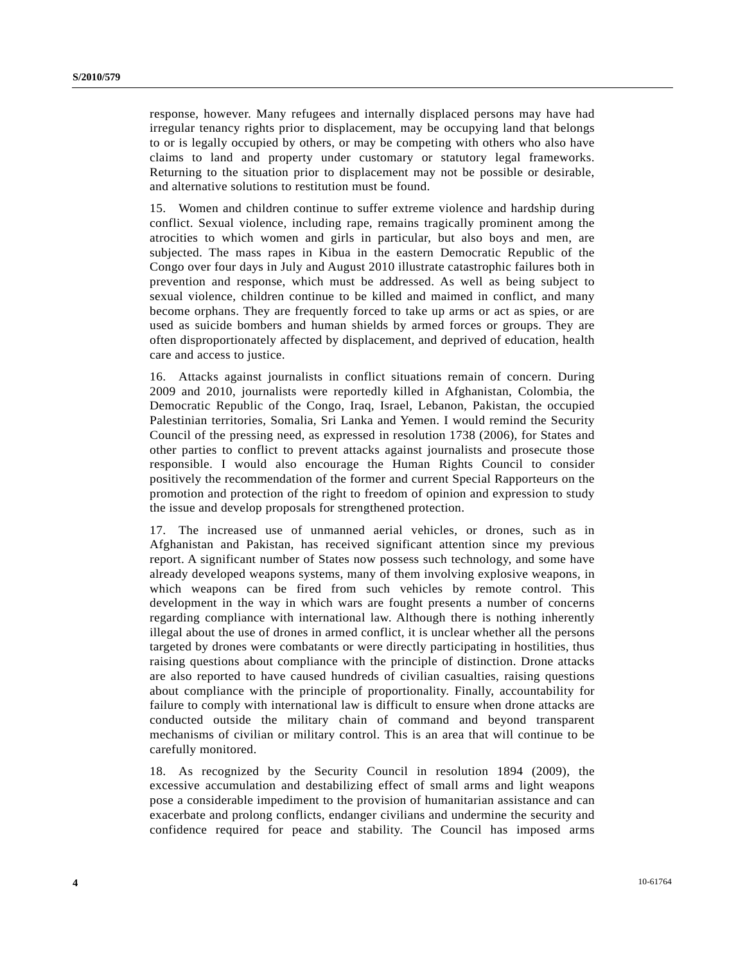response, however. Many refugees and internally displaced persons may have had irregular tenancy rights prior to displacement, may be occupying land that belongs to or is legally occupied by others, or may be competing with others who also have claims to land and property under customary or statutory legal frameworks. Returning to the situation prior to displacement may not be possible or desirable, and alternative solutions to restitution must be found.

15. Women and children continue to suffer extreme violence and hardship during conflict. Sexual violence, including rape, remains tragically prominent among the atrocities to which women and girls in particular, but also boys and men, are subjected. The mass rapes in Kibua in the eastern Democratic Republic of the Congo over four days in July and August 2010 illustrate catastrophic failures both in prevention and response, which must be addressed. As well as being subject to sexual violence, children continue to be killed and maimed in conflict, and many become orphans. They are frequently forced to take up arms or act as spies, or are used as suicide bombers and human shields by armed forces or groups. They are often disproportionately affected by displacement, and deprived of education, health care and access to justice.

16. Attacks against journalists in conflict situations remain of concern. During 2009 and 2010, journalists were reportedly killed in Afghanistan, Colombia, the Democratic Republic of the Congo, Iraq, Israel, Lebanon, Pakistan, the occupied Palestinian territories, Somalia, Sri Lanka and Yemen. I would remind the Security Council of the pressing need, as expressed in resolution 1738 (2006), for States and other parties to conflict to prevent attacks against journalists and prosecute those responsible. I would also encourage the Human Rights Council to consider positively the recommendation of the former and current Special Rapporteurs on the promotion and protection of the right to freedom of opinion and expression to study the issue and develop proposals for strengthened protection.

17. The increased use of unmanned aerial vehicles, or drones, such as in Afghanistan and Pakistan, has received significant attention since my previous report. A significant number of States now possess such technology, and some have already developed weapons systems, many of them involving explosive weapons, in which weapons can be fired from such vehicles by remote control. This development in the way in which wars are fought presents a number of concerns regarding compliance with international law. Although there is nothing inherently illegal about the use of drones in armed conflict, it is unclear whether all the persons targeted by drones were combatants or were directly participating in hostilities, thus raising questions about compliance with the principle of distinction. Drone attacks are also reported to have caused hundreds of civilian casualties, raising questions about compliance with the principle of proportionality. Finally, accountability for failure to comply with international law is difficult to ensure when drone attacks are conducted outside the military chain of command and beyond transparent mechanisms of civilian or military control. This is an area that will continue to be carefully monitored.

18. As recognized by the Security Council in resolution 1894 (2009), the excessive accumulation and destabilizing effect of small arms and light weapons pose a considerable impediment to the provision of humanitarian assistance and can exacerbate and prolong conflicts, endanger civilians and undermine the security and confidence required for peace and stability. The Council has imposed arms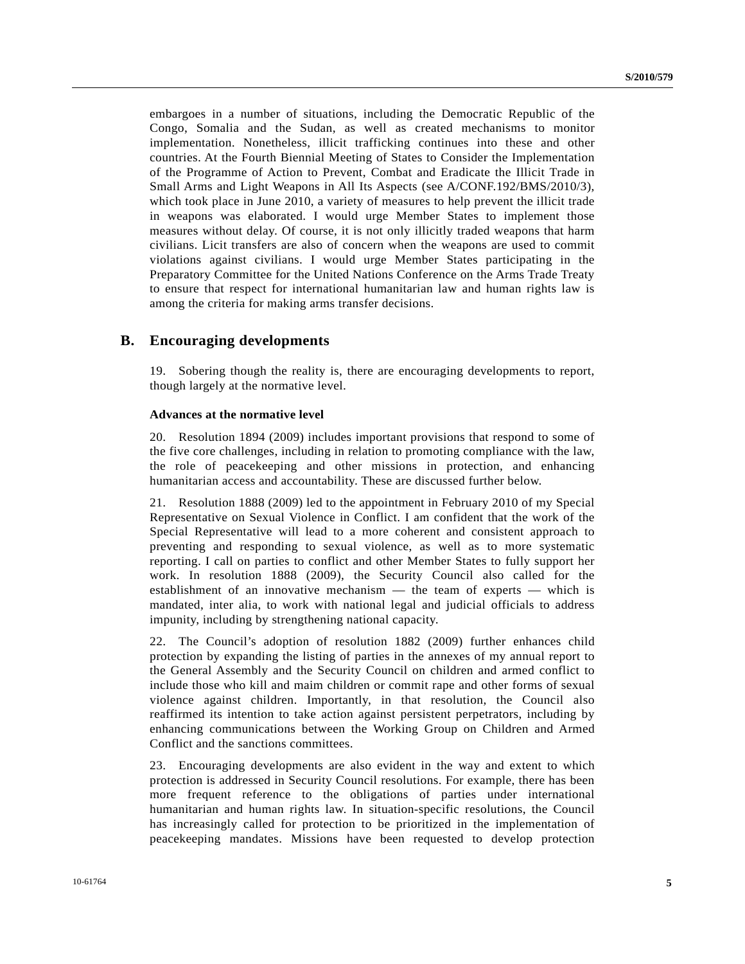embargoes in a number of situations, including the Democratic Republic of the Congo, Somalia and the Sudan, as well as created mechanisms to monitor implementation. Nonetheless, illicit trafficking continues into these and other countries. At the Fourth Biennial Meeting of States to Consider the Implementation of the Programme of Action to Prevent, Combat and Eradicate the Illicit Trade in Small Arms and Light Weapons in All Its Aspects (see A/CONF.192/BMS/2010/3), which took place in June 2010, a variety of measures to help prevent the illicit trade in weapons was elaborated. I would urge Member States to implement those measures without delay. Of course, it is not only illicitly traded weapons that harm civilians. Licit transfers are also of concern when the weapons are used to commit violations against civilians. I would urge Member States participating in the Preparatory Committee for the United Nations Conference on the Arms Trade Treaty to ensure that respect for international humanitarian law and human rights law is among the criteria for making arms transfer decisions.

### **B. Encouraging developments**

19. Sobering though the reality is, there are encouraging developments to report, though largely at the normative level.

#### **Advances at the normative level**

20. Resolution 1894 (2009) includes important provisions that respond to some of the five core challenges, including in relation to promoting compliance with the law, the role of peacekeeping and other missions in protection, and enhancing humanitarian access and accountability. These are discussed further below.

21. Resolution 1888 (2009) led to the appointment in February 2010 of my Special Representative on Sexual Violence in Conflict. I am confident that the work of the Special Representative will lead to a more coherent and consistent approach to preventing and responding to sexual violence, as well as to more systematic reporting. I call on parties to conflict and other Member States to fully support her work. In resolution 1888 (2009), the Security Council also called for the establishment of an innovative mechanism — the team of experts — which is mandated, inter alia, to work with national legal and judicial officials to address impunity, including by strengthening national capacity.

22. The Council's adoption of resolution 1882 (2009) further enhances child protection by expanding the listing of parties in the annexes of my annual report to the General Assembly and the Security Council on children and armed conflict to include those who kill and maim children or commit rape and other forms of sexual violence against children. Importantly, in that resolution, the Council also reaffirmed its intention to take action against persistent perpetrators, including by enhancing communications between the Working Group on Children and Armed Conflict and the sanctions committees.

23. Encouraging developments are also evident in the way and extent to which protection is addressed in Security Council resolutions. For example, there has been more frequent reference to the obligations of parties under international humanitarian and human rights law. In situation-specific resolutions, the Council has increasingly called for protection to be prioritized in the implementation of peacekeeping mandates. Missions have been requested to develop protection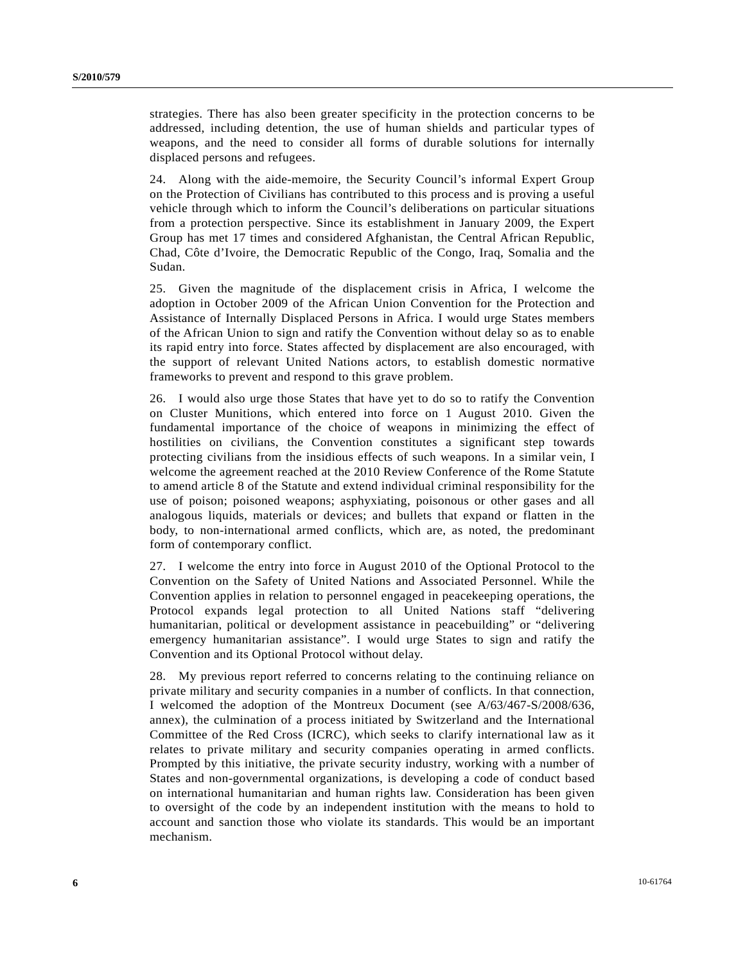strategies. There has also been greater specificity in the protection concerns to be addressed, including detention, the use of human shields and particular types of weapons, and the need to consider all forms of durable solutions for internally displaced persons and refugees.

24. Along with the aide-memoire, the Security Council's informal Expert Group on the Protection of Civilians has contributed to this process and is proving a useful vehicle through which to inform the Council's deliberations on particular situations from a protection perspective. Since its establishment in January 2009, the Expert Group has met 17 times and considered Afghanistan, the Central African Republic, Chad, Côte d'Ivoire, the Democratic Republic of the Congo, Iraq, Somalia and the Sudan.

25. Given the magnitude of the displacement crisis in Africa, I welcome the adoption in October 2009 of the African Union Convention for the Protection and Assistance of Internally Displaced Persons in Africa. I would urge States members of the African Union to sign and ratify the Convention without delay so as to enable its rapid entry into force. States affected by displacement are also encouraged, with the support of relevant United Nations actors, to establish domestic normative frameworks to prevent and respond to this grave problem.

26. I would also urge those States that have yet to do so to ratify the Convention on Cluster Munitions, which entered into force on 1 August 2010. Given the fundamental importance of the choice of weapons in minimizing the effect of hostilities on civilians, the Convention constitutes a significant step towards protecting civilians from the insidious effects of such weapons. In a similar vein, I welcome the agreement reached at the 2010 Review Conference of the Rome Statute to amend article 8 of the Statute and extend individual criminal responsibility for the use of poison; poisoned weapons; asphyxiating, poisonous or other gases and all analogous liquids, materials or devices; and bullets that expand or flatten in the body, to non-international armed conflicts, which are, as noted, the predominant form of contemporary conflict.

27. I welcome the entry into force in August 2010 of the Optional Protocol to the Convention on the Safety of United Nations and Associated Personnel. While the Convention applies in relation to personnel engaged in peacekeeping operations, the Protocol expands legal protection to all United Nations staff "delivering humanitarian, political or development assistance in peacebuilding" or "delivering emergency humanitarian assistance". I would urge States to sign and ratify the Convention and its Optional Protocol without delay.

28. My previous report referred to concerns relating to the continuing reliance on private military and security companies in a number of conflicts. In that connection, I welcomed the adoption of the Montreux Document (see A/63/467-S/2008/636, annex), the culmination of a process initiated by Switzerland and the International Committee of the Red Cross (ICRC), which seeks to clarify international law as it relates to private military and security companies operating in armed conflicts. Prompted by this initiative, the private security industry, working with a number of States and non-governmental organizations, is developing a code of conduct based on international humanitarian and human rights law. Consideration has been given to oversight of the code by an independent institution with the means to hold to account and sanction those who violate its standards. This would be an important mechanism.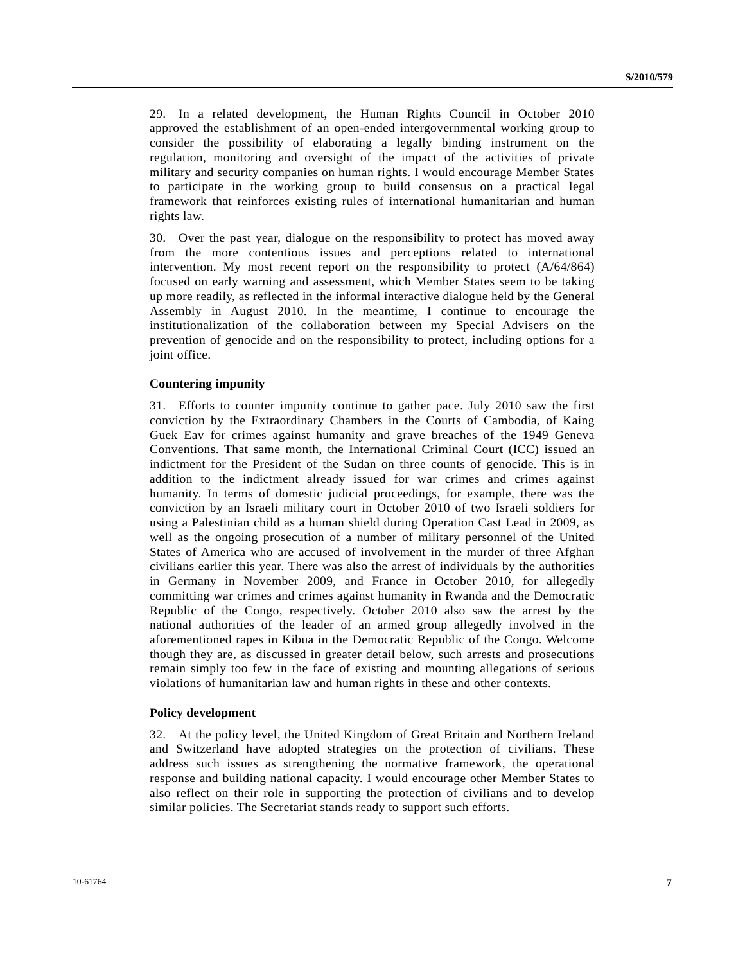29. In a related development, the Human Rights Council in October 2010 approved the establishment of an open-ended intergovernmental working group to consider the possibility of elaborating a legally binding instrument on the regulation, monitoring and oversight of the impact of the activities of private military and security companies on human rights. I would encourage Member States to participate in the working group to build consensus on a practical legal framework that reinforces existing rules of international humanitarian and human rights law.

30. Over the past year, dialogue on the responsibility to protect has moved away from the more contentious issues and perceptions related to international intervention. My most recent report on the responsibility to protect (A/64/864) focused on early warning and assessment, which Member States seem to be taking up more readily, as reflected in the informal interactive dialogue held by the General Assembly in August 2010. In the meantime, I continue to encourage the institutionalization of the collaboration between my Special Advisers on the prevention of genocide and on the responsibility to protect, including options for a joint office.

#### **Countering impunity**

31. Efforts to counter impunity continue to gather pace. July 2010 saw the first conviction by the Extraordinary Chambers in the Courts of Cambodia, of Kaing Guek Eav for crimes against humanity and grave breaches of the 1949 Geneva Conventions. That same month, the International Criminal Court (ICC) issued an indictment for the President of the Sudan on three counts of genocide. This is in addition to the indictment already issued for war crimes and crimes against humanity. In terms of domestic judicial proceedings, for example, there was the conviction by an Israeli military court in October 2010 of two Israeli soldiers for using a Palestinian child as a human shield during Operation Cast Lead in 2009, as well as the ongoing prosecution of a number of military personnel of the United States of America who are accused of involvement in the murder of three Afghan civilians earlier this year. There was also the arrest of individuals by the authorities in Germany in November 2009, and France in October 2010, for allegedly committing war crimes and crimes against humanity in Rwanda and the Democratic Republic of the Congo, respectively. October 2010 also saw the arrest by the national authorities of the leader of an armed group allegedly involved in the aforementioned rapes in Kibua in the Democratic Republic of the Congo. Welcome though they are, as discussed in greater detail below, such arrests and prosecutions remain simply too few in the face of existing and mounting allegations of serious violations of humanitarian law and human rights in these and other contexts.

#### **Policy development**

32. At the policy level, the United Kingdom of Great Britain and Northern Ireland and Switzerland have adopted strategies on the protection of civilians. These address such issues as strengthening the normative framework, the operational response and building national capacity. I would encourage other Member States to also reflect on their role in supporting the protection of civilians and to develop similar policies. The Secretariat stands ready to support such efforts.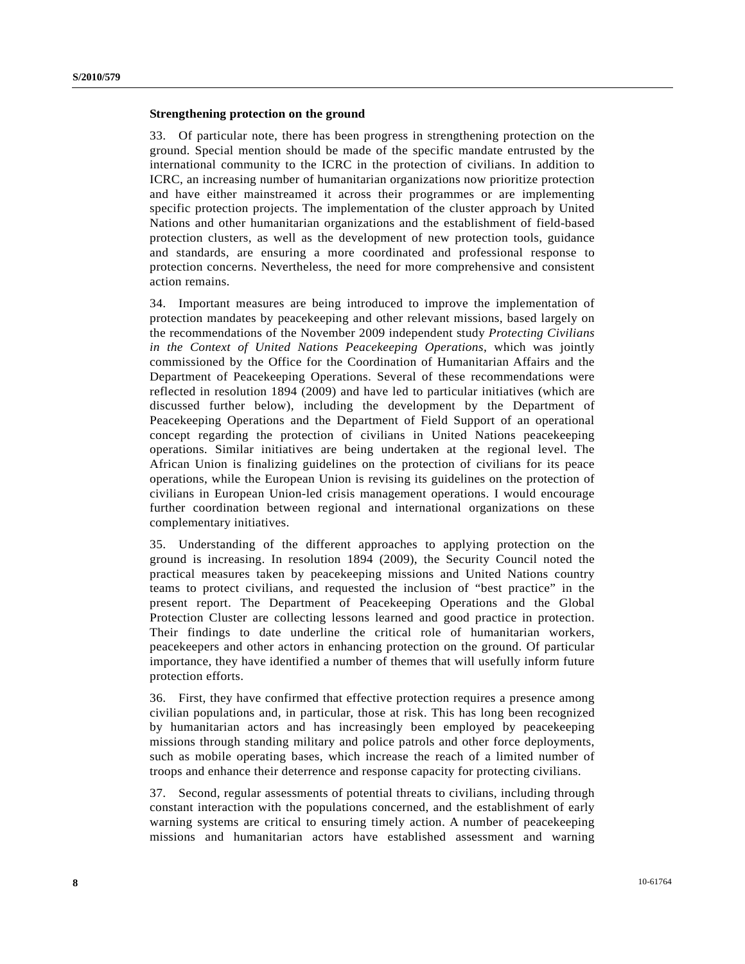#### **Strengthening protection on the ground**

33. Of particular note, there has been progress in strengthening protection on the ground. Special mention should be made of the specific mandate entrusted by the international community to the ICRC in the protection of civilians. In addition to ICRC, an increasing number of humanitarian organizations now prioritize protection and have either mainstreamed it across their programmes or are implementing specific protection projects. The implementation of the cluster approach by United Nations and other humanitarian organizations and the establishment of field-based protection clusters, as well as the development of new protection tools, guidance and standards, are ensuring a more coordinated and professional response to protection concerns. Nevertheless, the need for more comprehensive and consistent action remains.

34. Important measures are being introduced to improve the implementation of protection mandates by peacekeeping and other relevant missions, based largely on the recommendations of the November 2009 independent study *Protecting Civilians in the Context of United Nations Peacekeeping Operations*, which was jointly commissioned by the Office for the Coordination of Humanitarian Affairs and the Department of Peacekeeping Operations. Several of these recommendations were reflected in resolution 1894 (2009) and have led to particular initiatives (which are discussed further below), including the development by the Department of Peacekeeping Operations and the Department of Field Support of an operational concept regarding the protection of civilians in United Nations peacekeeping operations. Similar initiatives are being undertaken at the regional level. The African Union is finalizing guidelines on the protection of civilians for its peace operations, while the European Union is revising its guidelines on the protection of civilians in European Union-led crisis management operations. I would encourage further coordination between regional and international organizations on these complementary initiatives.

35. Understanding of the different approaches to applying protection on the ground is increasing. In resolution 1894 (2009), the Security Council noted the practical measures taken by peacekeeping missions and United Nations country teams to protect civilians, and requested the inclusion of "best practice" in the present report. The Department of Peacekeeping Operations and the Global Protection Cluster are collecting lessons learned and good practice in protection. Their findings to date underline the critical role of humanitarian workers, peacekeepers and other actors in enhancing protection on the ground. Of particular importance, they have identified a number of themes that will usefully inform future protection efforts.

36. First, they have confirmed that effective protection requires a presence among civilian populations and, in particular, those at risk. This has long been recognized by humanitarian actors and has increasingly been employed by peacekeeping missions through standing military and police patrols and other force deployments, such as mobile operating bases, which increase the reach of a limited number of troops and enhance their deterrence and response capacity for protecting civilians.

37. Second, regular assessments of potential threats to civilians, including through constant interaction with the populations concerned, and the establishment of early warning systems are critical to ensuring timely action. A number of peacekeeping missions and humanitarian actors have established assessment and warning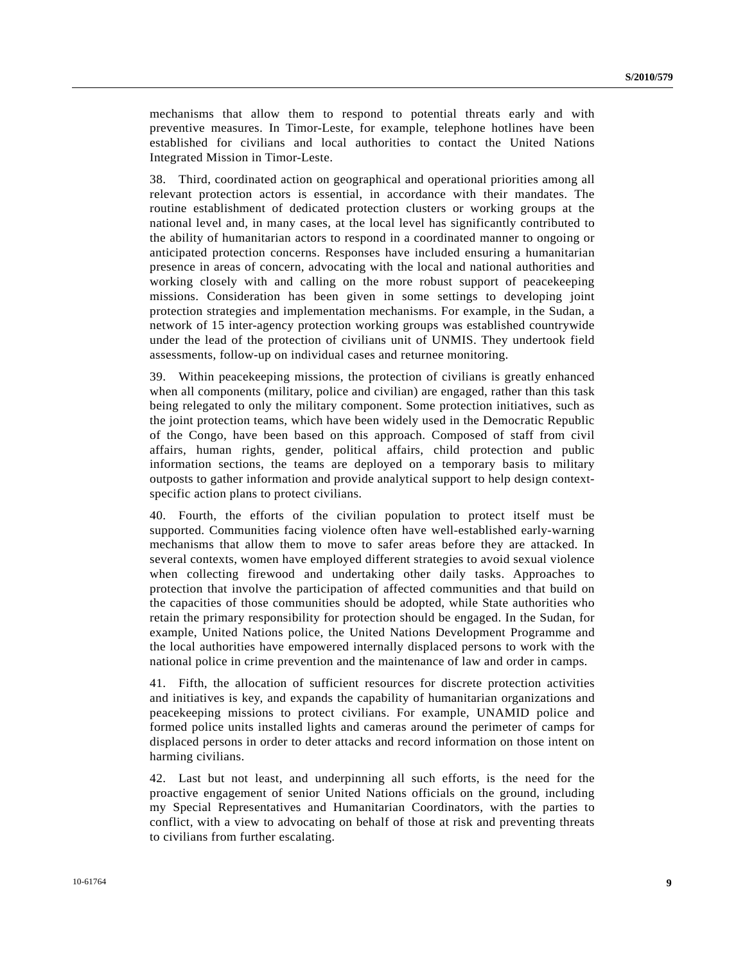mechanisms that allow them to respond to potential threats early and with preventive measures. In Timor-Leste, for example, telephone hotlines have been established for civilians and local authorities to contact the United Nations Integrated Mission in Timor-Leste.

38. Third, coordinated action on geographical and operational priorities among all relevant protection actors is essential, in accordance with their mandates. The routine establishment of dedicated protection clusters or working groups at the national level and, in many cases, at the local level has significantly contributed to the ability of humanitarian actors to respond in a coordinated manner to ongoing or anticipated protection concerns. Responses have included ensuring a humanitarian presence in areas of concern, advocating with the local and national authorities and working closely with and calling on the more robust support of peacekeeping missions. Consideration has been given in some settings to developing joint protection strategies and implementation mechanisms. For example, in the Sudan, a network of 15 inter-agency protection working groups was established countrywide under the lead of the protection of civilians unit of UNMIS. They undertook field assessments, follow-up on individual cases and returnee monitoring.

39. Within peacekeeping missions, the protection of civilians is greatly enhanced when all components (military, police and civilian) are engaged, rather than this task being relegated to only the military component. Some protection initiatives, such as the joint protection teams, which have been widely used in the Democratic Republic of the Congo, have been based on this approach. Composed of staff from civil affairs, human rights, gender, political affairs, child protection and public information sections, the teams are deployed on a temporary basis to military outposts to gather information and provide analytical support to help design contextspecific action plans to protect civilians.

40. Fourth, the efforts of the civilian population to protect itself must be supported. Communities facing violence often have well-established early-warning mechanisms that allow them to move to safer areas before they are attacked. In several contexts, women have employed different strategies to avoid sexual violence when collecting firewood and undertaking other daily tasks. Approaches to protection that involve the participation of affected communities and that build on the capacities of those communities should be adopted, while State authorities who retain the primary responsibility for protection should be engaged. In the Sudan, for example, United Nations police, the United Nations Development Programme and the local authorities have empowered internally displaced persons to work with the national police in crime prevention and the maintenance of law and order in camps.

41. Fifth, the allocation of sufficient resources for discrete protection activities and initiatives is key, and expands the capability of humanitarian organizations and peacekeeping missions to protect civilians. For example, UNAMID police and formed police units installed lights and cameras around the perimeter of camps for displaced persons in order to deter attacks and record information on those intent on harming civilians.

42. Last but not least, and underpinning all such efforts, is the need for the proactive engagement of senior United Nations officials on the ground, including my Special Representatives and Humanitarian Coordinators, with the parties to conflict, with a view to advocating on behalf of those at risk and preventing threats to civilians from further escalating.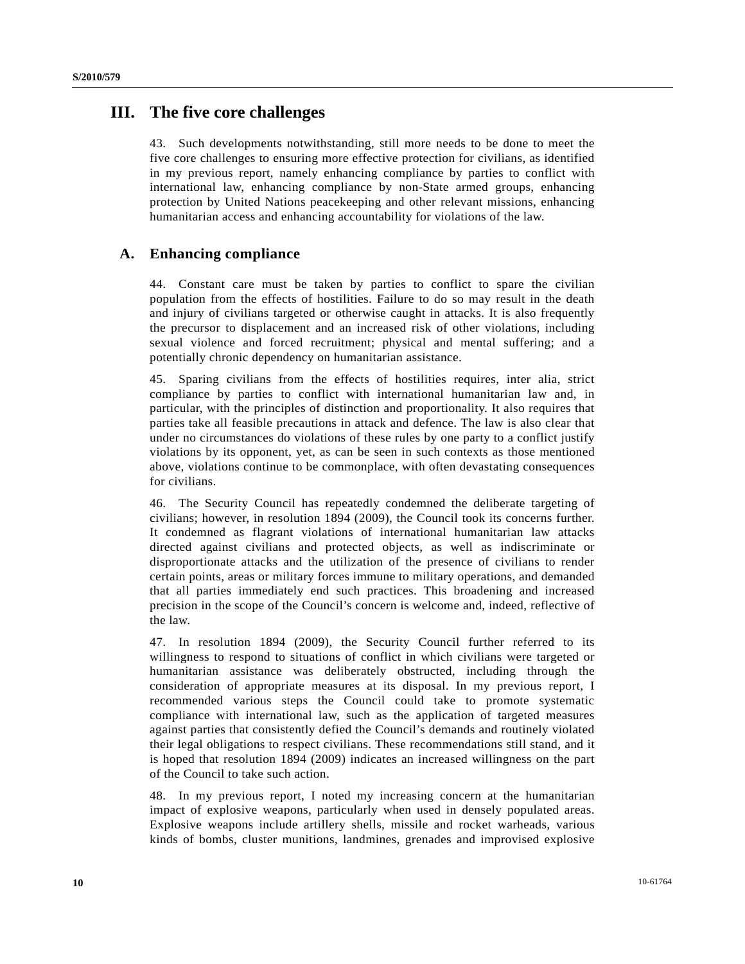## **III. The five core challenges**

43. Such developments notwithstanding, still more needs to be done to meet the five core challenges to ensuring more effective protection for civilians, as identified in my previous report, namely enhancing compliance by parties to conflict with international law, enhancing compliance by non-State armed groups, enhancing protection by United Nations peacekeeping and other relevant missions, enhancing humanitarian access and enhancing accountability for violations of the law.

### **A. Enhancing compliance**

44. Constant care must be taken by parties to conflict to spare the civilian population from the effects of hostilities. Failure to do so may result in the death and injury of civilians targeted or otherwise caught in attacks. It is also frequently the precursor to displacement and an increased risk of other violations, including sexual violence and forced recruitment; physical and mental suffering; and a potentially chronic dependency on humanitarian assistance.

45. Sparing civilians from the effects of hostilities requires, inter alia, strict compliance by parties to conflict with international humanitarian law and, in particular, with the principles of distinction and proportionality. It also requires that parties take all feasible precautions in attack and defence. The law is also clear that under no circumstances do violations of these rules by one party to a conflict justify violations by its opponent, yet, as can be seen in such contexts as those mentioned above, violations continue to be commonplace, with often devastating consequences for civilians.

46. The Security Council has repeatedly condemned the deliberate targeting of civilians; however, in resolution 1894 (2009), the Council took its concerns further. It condemned as flagrant violations of international humanitarian law attacks directed against civilians and protected objects, as well as indiscriminate or disproportionate attacks and the utilization of the presence of civilians to render certain points, areas or military forces immune to military operations, and demanded that all parties immediately end such practices. This broadening and increased precision in the scope of the Council's concern is welcome and, indeed, reflective of the law.

47. In resolution 1894 (2009), the Security Council further referred to its willingness to respond to situations of conflict in which civilians were targeted or humanitarian assistance was deliberately obstructed, including through the consideration of appropriate measures at its disposal. In my previous report, I recommended various steps the Council could take to promote systematic compliance with international law, such as the application of targeted measures against parties that consistently defied the Council's demands and routinely violated their legal obligations to respect civilians. These recommendations still stand, and it is hoped that resolution 1894 (2009) indicates an increased willingness on the part of the Council to take such action.

48. In my previous report, I noted my increasing concern at the humanitarian impact of explosive weapons, particularly when used in densely populated areas. Explosive weapons include artillery shells, missile and rocket warheads, various kinds of bombs, cluster munitions, landmines, grenades and improvised explosive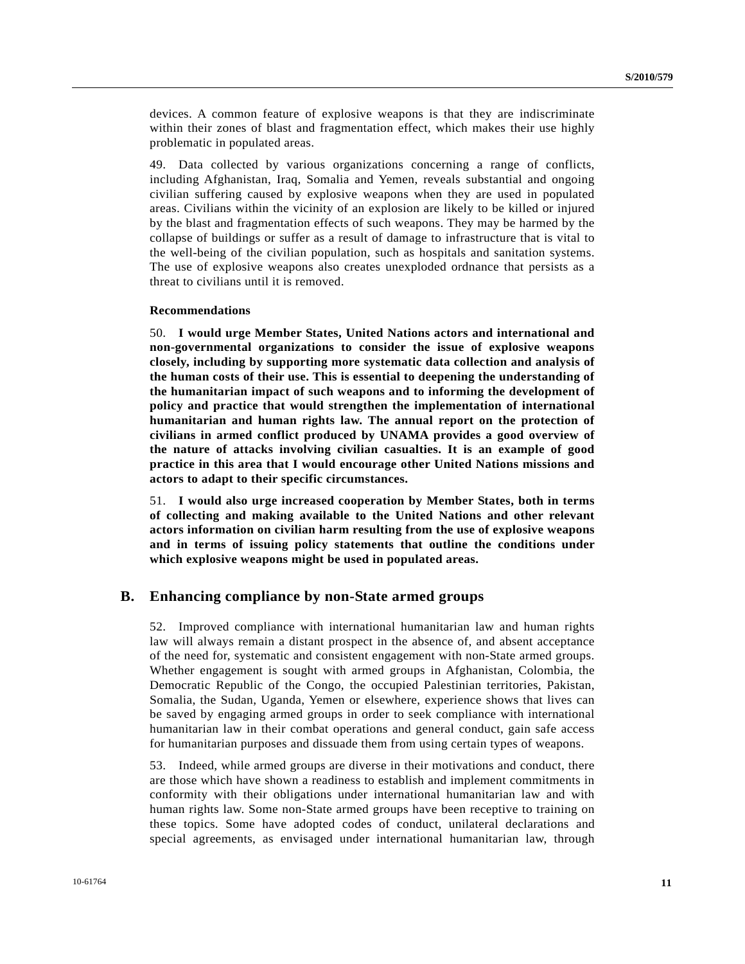devices. A common feature of explosive weapons is that they are indiscriminate within their zones of blast and fragmentation effect, which makes their use highly problematic in populated areas.

49. Data collected by various organizations concerning a range of conflicts, including Afghanistan, Iraq, Somalia and Yemen, reveals substantial and ongoing civilian suffering caused by explosive weapons when they are used in populated areas. Civilians within the vicinity of an explosion are likely to be killed or injured by the blast and fragmentation effects of such weapons. They may be harmed by the collapse of buildings or suffer as a result of damage to infrastructure that is vital to the well-being of the civilian population, such as hospitals and sanitation systems. The use of explosive weapons also creates unexploded ordnance that persists as a threat to civilians until it is removed.

#### **Recommendations**

50. **I would urge Member States, United Nations actors and international and non-governmental organizations to consider the issue of explosive weapons closely, including by supporting more systematic data collection and analysis of the human costs of their use. This is essential to deepening the understanding of the humanitarian impact of such weapons and to informing the development of policy and practice that would strengthen the implementation of international humanitarian and human rights law. The annual report on the protection of civilians in armed conflict produced by UNAMA provides a good overview of the nature of attacks involving civilian casualties. It is an example of good practice in this area that I would encourage other United Nations missions and actors to adapt to their specific circumstances.**

51. **I would also urge increased cooperation by Member States, both in terms of collecting and making available to the United Nations and other relevant actors information on civilian harm resulting from the use of explosive weapons and in terms of issuing policy statements that outline the conditions under which explosive weapons might be used in populated areas.** 

### **B. Enhancing compliance by non-State armed groups**

52. Improved compliance with international humanitarian law and human rights law will always remain a distant prospect in the absence of, and absent acceptance of the need for, systematic and consistent engagement with non-State armed groups. Whether engagement is sought with armed groups in Afghanistan, Colombia, the Democratic Republic of the Congo, the occupied Palestinian territories, Pakistan, Somalia, the Sudan, Uganda, Yemen or elsewhere, experience shows that lives can be saved by engaging armed groups in order to seek compliance with international humanitarian law in their combat operations and general conduct, gain safe access for humanitarian purposes and dissuade them from using certain types of weapons.

53. Indeed, while armed groups are diverse in their motivations and conduct, there are those which have shown a readiness to establish and implement commitments in conformity with their obligations under international humanitarian law and with human rights law. Some non-State armed groups have been receptive to training on these topics. Some have adopted codes of conduct, unilateral declarations and special agreements, as envisaged under international humanitarian law, through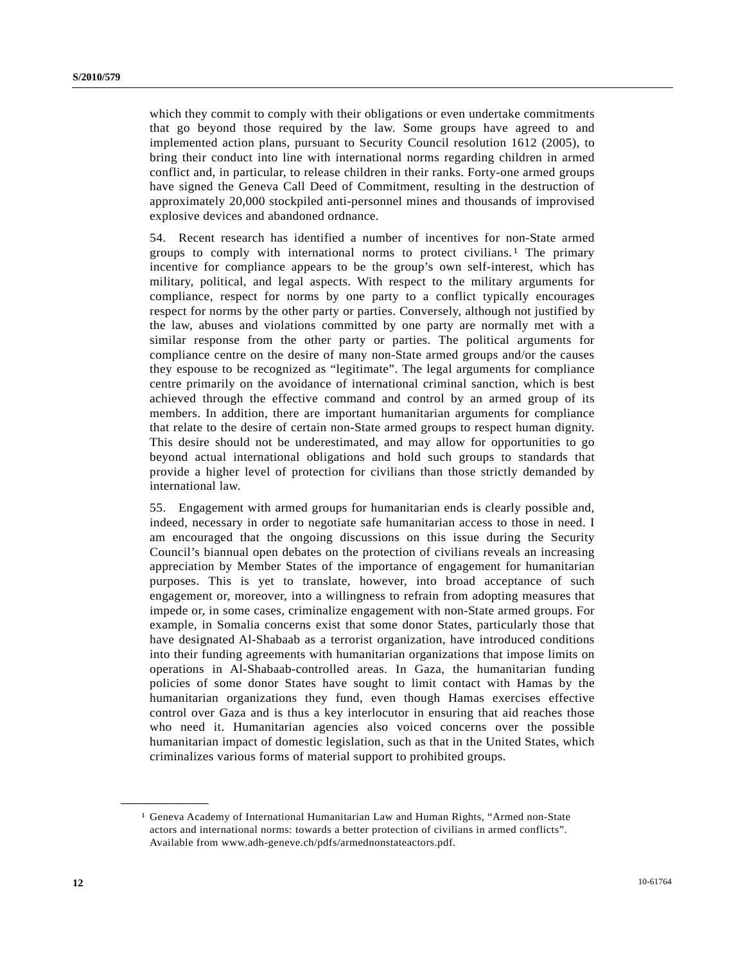which they commit to comply with their obligations or even undertake commitments that go beyond those required by the law. Some groups have agreed to and implemented action plans, pursuant to Security Council resolution 1612 (2005), to bring their conduct into line with international norms regarding children in armed conflict and, in particular, to release children in their ranks. Forty-one armed groups have signed the Geneva Call Deed of Commitment, resulting in the destruction of approximately 20,000 stockpiled anti-personnel mines and thousands of improvised explosive devices and abandoned ordnance.

54. Recent research has identified a number of incentives for non-State armed groups to comply with international norms to protect civilians.[1](#page-11-0) The primary incentive for compliance appears to be the group's own self-interest, which has military, political, and legal aspects. With respect to the military arguments for compliance, respect for norms by one party to a conflict typically encourages respect for norms by the other party or parties. Conversely, although not justified by the law, abuses and violations committed by one party are normally met with a similar response from the other party or parties. The political arguments for compliance centre on the desire of many non-State armed groups and/or the causes they espouse to be recognized as "legitimate". The legal arguments for compliance centre primarily on the avoidance of international criminal sanction, which is best achieved through the effective command and control by an armed group of its members. In addition, there are important humanitarian arguments for compliance that relate to the desire of certain non-State armed groups to respect human dignity. This desire should not be underestimated, and may allow for opportunities to go beyond actual international obligations and hold such groups to standards that provide a higher level of protection for civilians than those strictly demanded by international law.

55. Engagement with armed groups for humanitarian ends is clearly possible and, indeed, necessary in order to negotiate safe humanitarian access to those in need. I am encouraged that the ongoing discussions on this issue during the Security Council's biannual open debates on the protection of civilians reveals an increasing appreciation by Member States of the importance of engagement for humanitarian purposes. This is yet to translate, however, into broad acceptance of such engagement or, moreover, into a willingness to refrain from adopting measures that impede or, in some cases, criminalize engagement with non-State armed groups. For example, in Somalia concerns exist that some donor States, particularly those that have designated Al-Shabaab as a terrorist organization, have introduced conditions into their funding agreements with humanitarian organizations that impose limits on operations in Al-Shabaab-controlled areas. In Gaza, the humanitarian funding policies of some donor States have sought to limit contact with Hamas by the humanitarian organizations they fund, even though Hamas exercises effective control over Gaza and is thus a key interlocutor in ensuring that aid reaches those who need it. Humanitarian agencies also voiced concerns over the possible humanitarian impact of domestic legislation, such as that in the United States, which criminalizes various forms of material support to prohibited groups.

<span id="page-11-0"></span>**\_\_\_\_\_\_\_\_\_\_\_\_\_\_\_\_\_\_** 

<sup>1</sup> Geneva Academy of International Humanitarian Law and Human Rights, "Armed non-State actors and international norms: towards a better protection of civilians in armed conflicts". Available from www.adh-geneve.ch/pdfs/armednonstateactors.pdf.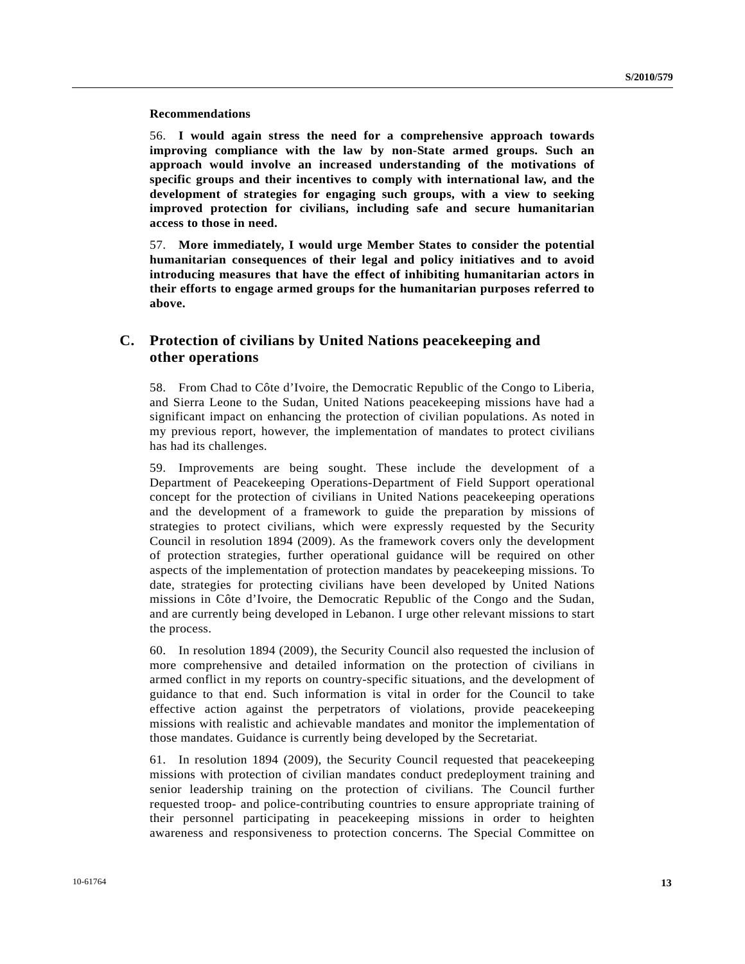#### **Recommendations**

56. **I would again stress the need for a comprehensive approach towards improving compliance with the law by non-State armed groups. Such an approach would involve an increased understanding of the motivations of specific groups and their incentives to comply with international law, and the development of strategies for engaging such groups, with a view to seeking improved protection for civilians, including safe and secure humanitarian access to those in need.**

57. **More immediately, I would urge Member States to consider the potential humanitarian consequences of their legal and policy initiatives and to avoid introducing measures that have the effect of inhibiting humanitarian actors in their efforts to engage armed groups for the humanitarian purposes referred to above.**

## **C. Protection of civilians by United Nations peacekeeping and other operations**

58. From Chad to Côte d'Ivoire, the Democratic Republic of the Congo to Liberia, and Sierra Leone to the Sudan, United Nations peacekeeping missions have had a significant impact on enhancing the protection of civilian populations. As noted in my previous report, however, the implementation of mandates to protect civilians has had its challenges.

59. Improvements are being sought. These include the development of a Department of Peacekeeping Operations-Department of Field Support operational concept for the protection of civilians in United Nations peacekeeping operations and the development of a framework to guide the preparation by missions of strategies to protect civilians, which were expressly requested by the Security Council in resolution 1894 (2009). As the framework covers only the development of protection strategies, further operational guidance will be required on other aspects of the implementation of protection mandates by peacekeeping missions. To date, strategies for protecting civilians have been developed by United Nations missions in Côte d'Ivoire, the Democratic Republic of the Congo and the Sudan, and are currently being developed in Lebanon. I urge other relevant missions to start the process.

60. In resolution 1894 (2009), the Security Council also requested the inclusion of more comprehensive and detailed information on the protection of civilians in armed conflict in my reports on country-specific situations, and the development of guidance to that end. Such information is vital in order for the Council to take effective action against the perpetrators of violations, provide peacekeeping missions with realistic and achievable mandates and monitor the implementation of those mandates. Guidance is currently being developed by the Secretariat.

61. In resolution 1894 (2009), the Security Council requested that peacekeeping missions with protection of civilian mandates conduct predeployment training and senior leadership training on the protection of civilians. The Council further requested troop- and police-contributing countries to ensure appropriate training of their personnel participating in peacekeeping missions in order to heighten awareness and responsiveness to protection concerns. The Special Committee on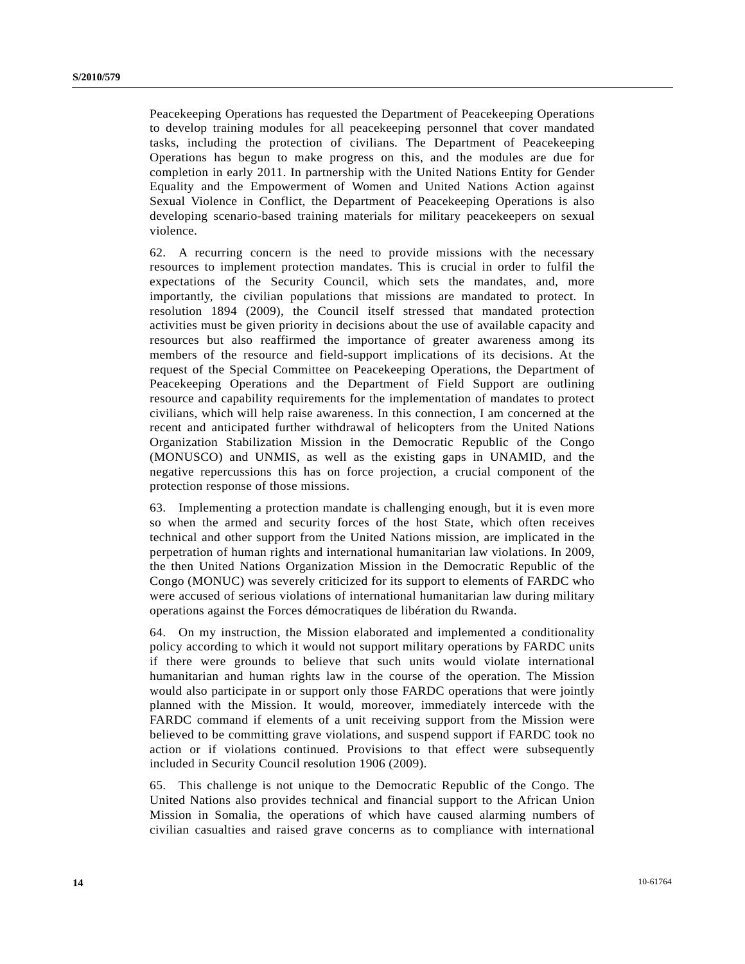Peacekeeping Operations has requested the Department of Peacekeeping Operations to develop training modules for all peacekeeping personnel that cover mandated tasks, including the protection of civilians. The Department of Peacekeeping Operations has begun to make progress on this, and the modules are due for completion in early 2011. In partnership with the United Nations Entity for Gender Equality and the Empowerment of Women and United Nations Action against Sexual Violence in Conflict, the Department of Peacekeeping Operations is also developing scenario-based training materials for military peacekeepers on sexual violence.

62. A recurring concern is the need to provide missions with the necessary resources to implement protection mandates. This is crucial in order to fulfil the expectations of the Security Council, which sets the mandates, and, more importantly, the civilian populations that missions are mandated to protect. In resolution 1894 (2009), the Council itself stressed that mandated protection activities must be given priority in decisions about the use of available capacity and resources but also reaffirmed the importance of greater awareness among its members of the resource and field-support implications of its decisions. At the request of the Special Committee on Peacekeeping Operations, the Department of Peacekeeping Operations and the Department of Field Support are outlining resource and capability requirements for the implementation of mandates to protect civilians, which will help raise awareness. In this connection, I am concerned at the recent and anticipated further withdrawal of helicopters from the United Nations Organization Stabilization Mission in the Democratic Republic of the Congo (MONUSCO) and UNMIS, as well as the existing gaps in UNAMID, and the negative repercussions this has on force projection, a crucial component of the protection response of those missions.

63. Implementing a protection mandate is challenging enough, but it is even more so when the armed and security forces of the host State, which often receives technical and other support from the United Nations mission, are implicated in the perpetration of human rights and international humanitarian law violations. In 2009, the then United Nations Organization Mission in the Democratic Republic of the Congo (MONUC) was severely criticized for its support to elements of FARDC who were accused of serious violations of international humanitarian law during military operations against the Forces démocratiques de libération du Rwanda.

64. On my instruction, the Mission elaborated and implemented a conditionality policy according to which it would not support military operations by FARDC units if there were grounds to believe that such units would violate international humanitarian and human rights law in the course of the operation. The Mission would also participate in or support only those FARDC operations that were jointly planned with the Mission. It would, moreover, immediately intercede with the FARDC command if elements of a unit receiving support from the Mission were believed to be committing grave violations, and suspend support if FARDC took no action or if violations continued. Provisions to that effect were subsequently included in Security Council resolution 1906 (2009).

65. This challenge is not unique to the Democratic Republic of the Congo. The United Nations also provides technical and financial support to the African Union Mission in Somalia, the operations of which have caused alarming numbers of civilian casualties and raised grave concerns as to compliance with international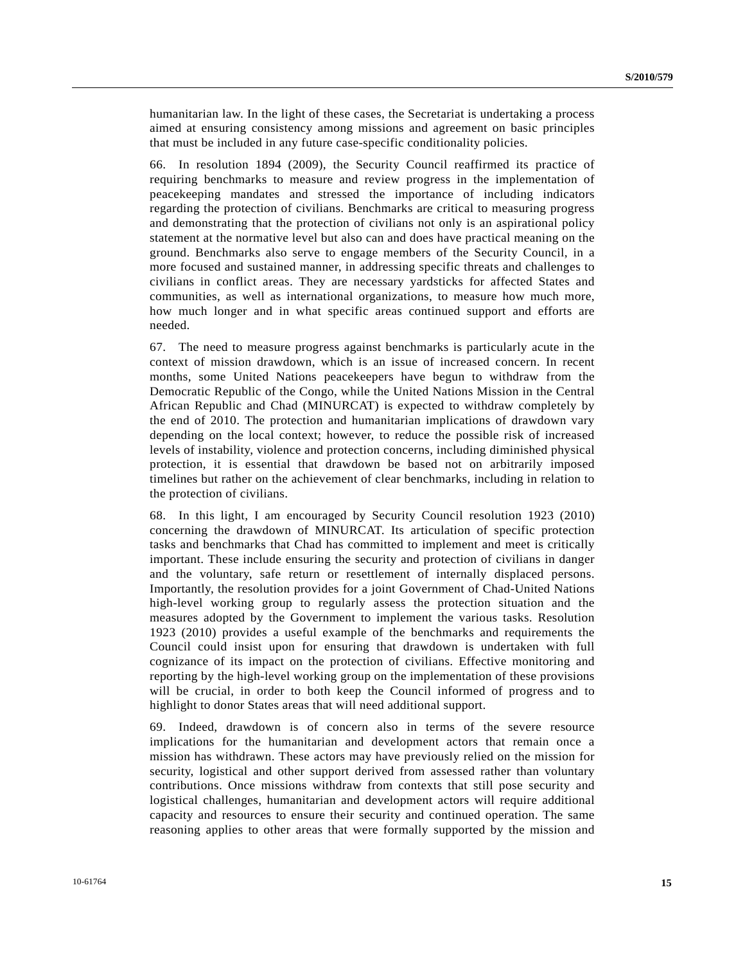humanitarian law. In the light of these cases, the Secretariat is undertaking a process aimed at ensuring consistency among missions and agreement on basic principles that must be included in any future case-specific conditionality policies.

66. In resolution 1894 (2009), the Security Council reaffirmed its practice of requiring benchmarks to measure and review progress in the implementation of peacekeeping mandates and stressed the importance of including indicators regarding the protection of civilians. Benchmarks are critical to measuring progress and demonstrating that the protection of civilians not only is an aspirational policy statement at the normative level but also can and does have practical meaning on the ground. Benchmarks also serve to engage members of the Security Council, in a more focused and sustained manner, in addressing specific threats and challenges to civilians in conflict areas. They are necessary yardsticks for affected States and communities, as well as international organizations, to measure how much more, how much longer and in what specific areas continued support and efforts are needed.

67. The need to measure progress against benchmarks is particularly acute in the context of mission drawdown, which is an issue of increased concern. In recent months, some United Nations peacekeepers have begun to withdraw from the Democratic Republic of the Congo, while the United Nations Mission in the Central African Republic and Chad (MINURCAT) is expected to withdraw completely by the end of 2010. The protection and humanitarian implications of drawdown vary depending on the local context; however, to reduce the possible risk of increased levels of instability, violence and protection concerns, including diminished physical protection, it is essential that drawdown be based not on arbitrarily imposed timelines but rather on the achievement of clear benchmarks, including in relation to the protection of civilians.

68. In this light, I am encouraged by Security Council resolution 1923 (2010) concerning the drawdown of MINURCAT. Its articulation of specific protection tasks and benchmarks that Chad has committed to implement and meet is critically important. These include ensuring the security and protection of civilians in danger and the voluntary, safe return or resettlement of internally displaced persons. Importantly, the resolution provides for a joint Government of Chad-United Nations high-level working group to regularly assess the protection situation and the measures adopted by the Government to implement the various tasks. Resolution 1923 (2010) provides a useful example of the benchmarks and requirements the Council could insist upon for ensuring that drawdown is undertaken with full cognizance of its impact on the protection of civilians. Effective monitoring and reporting by the high-level working group on the implementation of these provisions will be crucial, in order to both keep the Council informed of progress and to highlight to donor States areas that will need additional support.

69. Indeed, drawdown is of concern also in terms of the severe resource implications for the humanitarian and development actors that remain once a mission has withdrawn. These actors may have previously relied on the mission for security, logistical and other support derived from assessed rather than voluntary contributions. Once missions withdraw from contexts that still pose security and logistical challenges, humanitarian and development actors will require additional capacity and resources to ensure their security and continued operation. The same reasoning applies to other areas that were formally supported by the mission and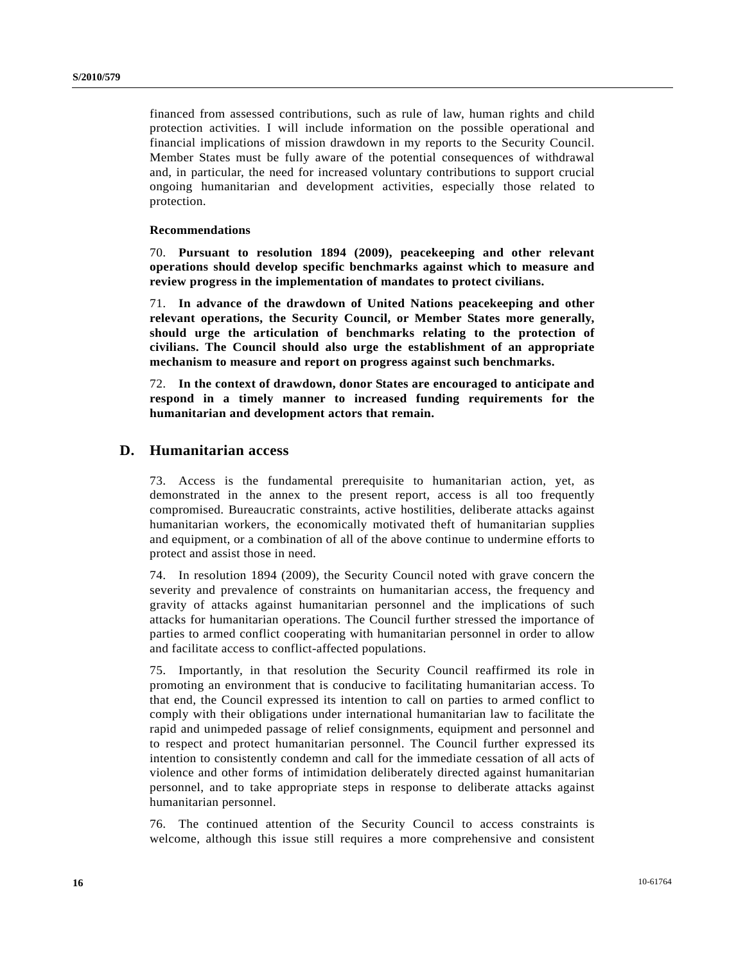financed from assessed contributions, such as rule of law, human rights and child protection activities. I will include information on the possible operational and financial implications of mission drawdown in my reports to the Security Council. Member States must be fully aware of the potential consequences of withdrawal and, in particular, the need for increased voluntary contributions to support crucial ongoing humanitarian and development activities, especially those related to protection.

#### **Recommendations**

70. **Pursuant to resolution 1894 (2009), peacekeeping and other relevant operations should develop specific benchmarks against which to measure and review progress in the implementation of mandates to protect civilians.**

71. **In advance of the drawdown of United Nations peacekeeping and other relevant operations, the Security Council, or Member States more generally, should urge the articulation of benchmarks relating to the protection of civilians. The Council should also urge the establishment of an appropriate mechanism to measure and report on progress against such benchmarks.**

72. **In the context of drawdown, donor States are encouraged to anticipate and respond in a timely manner to increased funding requirements for the humanitarian and development actors that remain.**

### **D. Humanitarian access**

73. Access is the fundamental prerequisite to humanitarian action, yet, as demonstrated in the annex to the present report, access is all too frequently compromised. Bureaucratic constraints, active hostilities, deliberate attacks against humanitarian workers, the economically motivated theft of humanitarian supplies and equipment, or a combination of all of the above continue to undermine efforts to protect and assist those in need.

74. In resolution 1894 (2009), the Security Council noted with grave concern the severity and prevalence of constraints on humanitarian access, the frequency and gravity of attacks against humanitarian personnel and the implications of such attacks for humanitarian operations. The Council further stressed the importance of parties to armed conflict cooperating with humanitarian personnel in order to allow and facilitate access to conflict-affected populations.

75. Importantly, in that resolution the Security Council reaffirmed its role in promoting an environment that is conducive to facilitating humanitarian access. To that end, the Council expressed its intention to call on parties to armed conflict to comply with their obligations under international humanitarian law to facilitate the rapid and unimpeded passage of relief consignments, equipment and personnel and to respect and protect humanitarian personnel. The Council further expressed its intention to consistently condemn and call for the immediate cessation of all acts of violence and other forms of intimidation deliberately directed against humanitarian personnel, and to take appropriate steps in response to deliberate attacks against humanitarian personnel.

76. The continued attention of the Security Council to access constraints is welcome, although this issue still requires a more comprehensive and consistent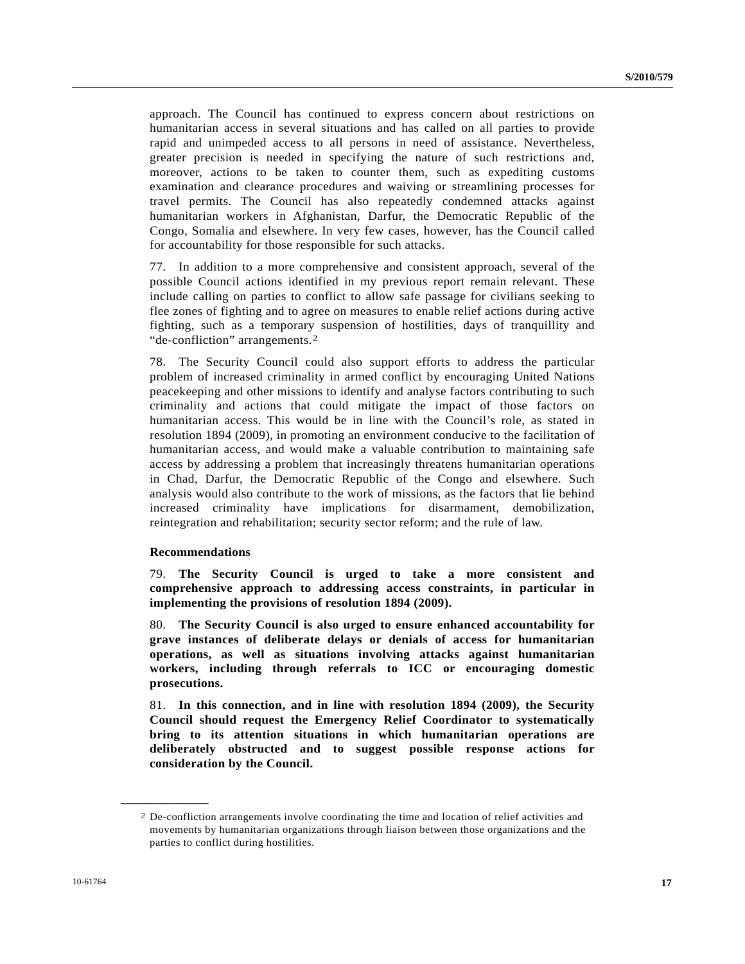approach. The Council has continued to express concern about restrictions on humanitarian access in several situations and has called on all parties to provide rapid and unimpeded access to all persons in need of assistance. Nevertheless, greater precision is needed in specifying the nature of such restrictions and, moreover, actions to be taken to counter them, such as expediting customs examination and clearance procedures and waiving or streamlining processes for travel permits. The Council has also repeatedly condemned attacks against humanitarian workers in Afghanistan, Darfur, the Democratic Republic of the Congo, Somalia and elsewhere. In very few cases, however, has the Council called for accountability for those responsible for such attacks.

77. In addition to a more comprehensive and consistent approach, several of the possible Council actions identified in my previous report remain relevant. These include calling on parties to conflict to allow safe passage for civilians seeking to flee zones of fighting and to agree on measures to enable relief actions during active fighting, such as a temporary suspension of hostilities, days of tranquillity and "de-confliction" arrangements.[2](#page-16-0)

78. The Security Council could also support efforts to address the particular problem of increased criminality in armed conflict by encouraging United Nations peacekeeping and other missions to identify and analyse factors contributing to such criminality and actions that could mitigate the impact of those factors on humanitarian access. This would be in line with the Council's role, as stated in resolution 1894 (2009), in promoting an environment conducive to the facilitation of humanitarian access, and would make a valuable contribution to maintaining safe access by addressing a problem that increasingly threatens humanitarian operations in Chad, Darfur, the Democratic Republic of the Congo and elsewhere. Such analysis would also contribute to the work of missions, as the factors that lie behind increased criminality have implications for disarmament, demobilization, reintegration and rehabilitation; security sector reform; and the rule of law.

#### **Recommendations**

<span id="page-16-0"></span>**\_\_\_\_\_\_\_\_\_\_\_\_\_\_\_\_\_\_** 

79. **The Security Council is urged to take a more consistent and comprehensive approach to addressing access constraints, in particular in implementing the provisions of resolution 1894 (2009).**

80. **The Security Council is also urged to ensure enhanced accountability for grave instances of deliberate delays or denials of access for humanitarian operations, as well as situations involving attacks against humanitarian workers, including through referrals to ICC or encouraging domestic prosecutions.** 

81. **In this connection, and in line with resolution 1894 (2009), the Security Council should request the Emergency Relief Coordinator to systematically bring to its attention situations in which humanitarian operations are deliberately obstructed and to suggest possible response actions for consideration by the Council.** 

<sup>2</sup> De-confliction arrangements involve coordinating the time and location of relief activities and movements by humanitarian organizations through liaison between those organizations and the parties to conflict during hostilities.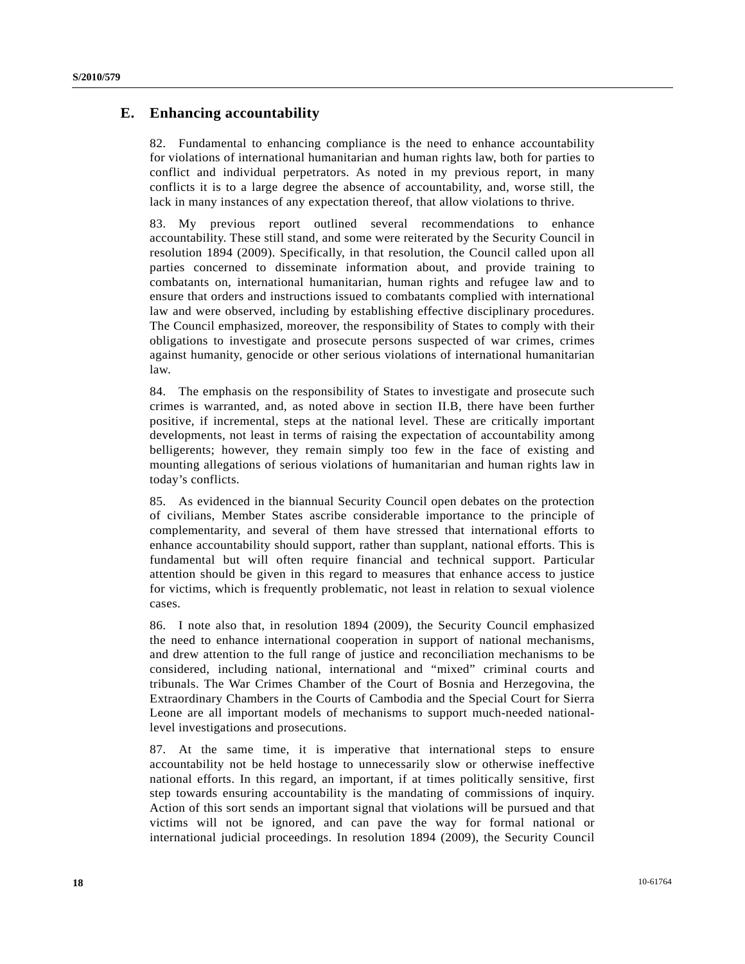### **E. Enhancing accountability**

82. Fundamental to enhancing compliance is the need to enhance accountability for violations of international humanitarian and human rights law, both for parties to conflict and individual perpetrators. As noted in my previous report, in many conflicts it is to a large degree the absence of accountability, and, worse still, the lack in many instances of any expectation thereof, that allow violations to thrive.

83. My previous report outlined several recommendations to enhance accountability. These still stand, and some were reiterated by the Security Council in resolution 1894 (2009). Specifically, in that resolution, the Council called upon all parties concerned to disseminate information about, and provide training to combatants on, international humanitarian, human rights and refugee law and to ensure that orders and instructions issued to combatants complied with international law and were observed, including by establishing effective disciplinary procedures. The Council emphasized, moreover, the responsibility of States to comply with their obligations to investigate and prosecute persons suspected of war crimes, crimes against humanity, genocide or other serious violations of international humanitarian law.

84. The emphasis on the responsibility of States to investigate and prosecute such crimes is warranted, and, as noted above in section II.B, there have been further positive, if incremental, steps at the national level. These are critically important developments, not least in terms of raising the expectation of accountability among belligerents; however, they remain simply too few in the face of existing and mounting allegations of serious violations of humanitarian and human rights law in today's conflicts.

85. As evidenced in the biannual Security Council open debates on the protection of civilians, Member States ascribe considerable importance to the principle of complementarity, and several of them have stressed that international efforts to enhance accountability should support, rather than supplant, national efforts. This is fundamental but will often require financial and technical support. Particular attention should be given in this regard to measures that enhance access to justice for victims, which is frequently problematic, not least in relation to sexual violence cases.

86. I note also that, in resolution 1894 (2009), the Security Council emphasized the need to enhance international cooperation in support of national mechanisms, and drew attention to the full range of justice and reconciliation mechanisms to be considered, including national, international and "mixed" criminal courts and tribunals. The War Crimes Chamber of the Court of Bosnia and Herzegovina, the Extraordinary Chambers in the Courts of Cambodia and the Special Court for Sierra Leone are all important models of mechanisms to support much-needed nationallevel investigations and prosecutions.

87. At the same time, it is imperative that international steps to ensure accountability not be held hostage to unnecessarily slow or otherwise ineffective national efforts. In this regard, an important, if at times politically sensitive, first step towards ensuring accountability is the mandating of commissions of inquiry. Action of this sort sends an important signal that violations will be pursued and that victims will not be ignored, and can pave the way for formal national or international judicial proceedings. In resolution 1894 (2009), the Security Council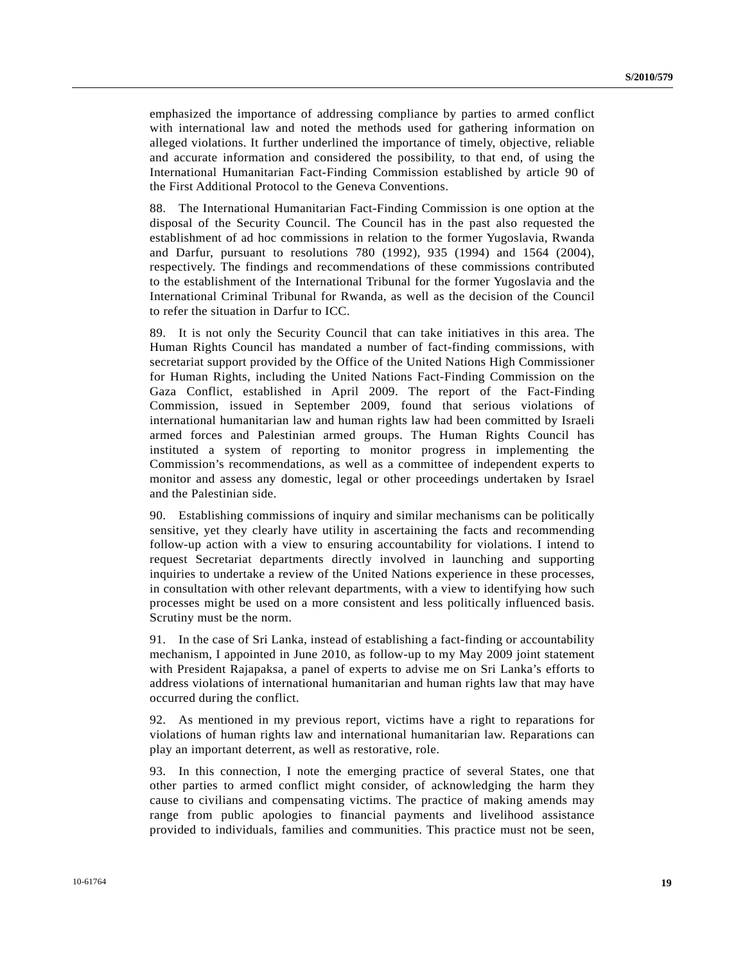emphasized the importance of addressing compliance by parties to armed conflict with international law and noted the methods used for gathering information on alleged violations. It further underlined the importance of timely, objective, reliable and accurate information and considered the possibility, to that end, of using the International Humanitarian Fact-Finding Commission established by article 90 of the First Additional Protocol to the Geneva Conventions.

88. The International Humanitarian Fact-Finding Commission is one option at the disposal of the Security Council. The Council has in the past also requested the establishment of ad hoc commissions in relation to the former Yugoslavia, Rwanda and Darfur, pursuant to resolutions 780 (1992), 935 (1994) and 1564 (2004), respectively. The findings and recommendations of these commissions contributed to the establishment of the International Tribunal for the former Yugoslavia and the International Criminal Tribunal for Rwanda, as well as the decision of the Council to refer the situation in Darfur to ICC.

89. It is not only the Security Council that can take initiatives in this area. The Human Rights Council has mandated a number of fact-finding commissions, with secretariat support provided by the Office of the United Nations High Commissioner for Human Rights, including the United Nations Fact-Finding Commission on the Gaza Conflict, established in April 2009. The report of the Fact-Finding Commission, issued in September 2009, found that serious violations of international humanitarian law and human rights law had been committed by Israeli armed forces and Palestinian armed groups. The Human Rights Council has instituted a system of reporting to monitor progress in implementing the Commission's recommendations, as well as a committee of independent experts to monitor and assess any domestic, legal or other proceedings undertaken by Israel and the Palestinian side.

90. Establishing commissions of inquiry and similar mechanisms can be politically sensitive, yet they clearly have utility in ascertaining the facts and recommending follow-up action with a view to ensuring accountability for violations. I intend to request Secretariat departments directly involved in launching and supporting inquiries to undertake a review of the United Nations experience in these processes, in consultation with other relevant departments, with a view to identifying how such processes might be used on a more consistent and less politically influenced basis. Scrutiny must be the norm.

91. In the case of Sri Lanka, instead of establishing a fact-finding or accountability mechanism, I appointed in June 2010, as follow-up to my May 2009 joint statement with President Rajapaksa, a panel of experts to advise me on Sri Lanka's efforts to address violations of international humanitarian and human rights law that may have occurred during the conflict.

92. As mentioned in my previous report, victims have a right to reparations for violations of human rights law and international humanitarian law. Reparations can play an important deterrent, as well as restorative, role.

93. In this connection, I note the emerging practice of several States, one that other parties to armed conflict might consider, of acknowledging the harm they cause to civilians and compensating victims. The practice of making amends may range from public apologies to financial payments and livelihood assistance provided to individuals, families and communities. This practice must not be seen,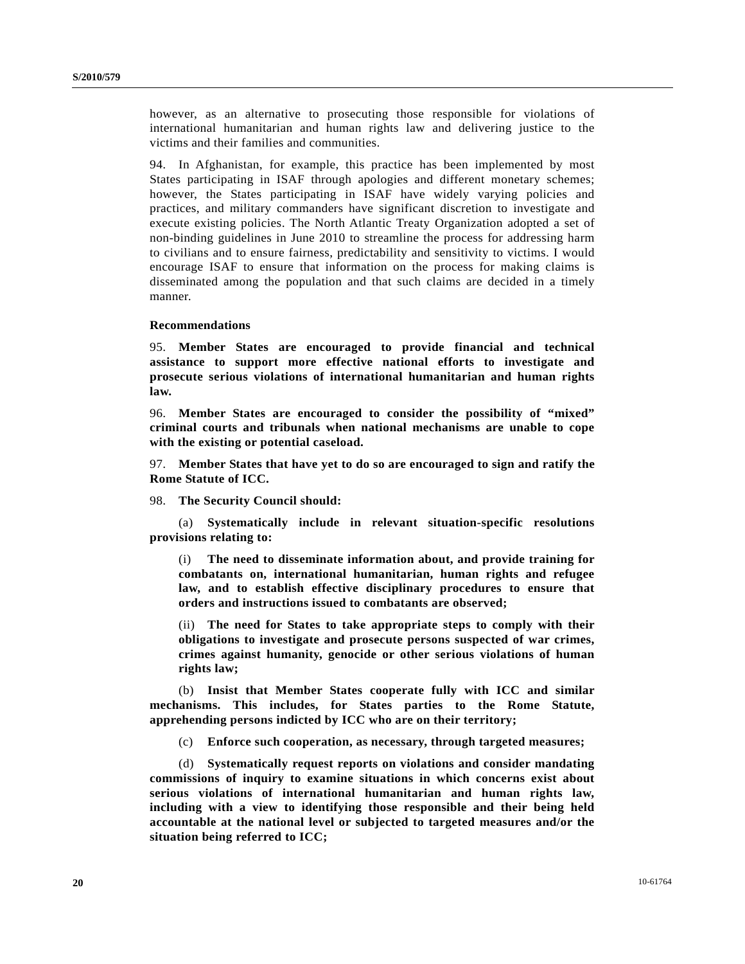however, as an alternative to prosecuting those responsible for violations of international humanitarian and human rights law and delivering justice to the victims and their families and communities.

94. In Afghanistan, for example, this practice has been implemented by most States participating in ISAF through apologies and different monetary schemes; however, the States participating in ISAF have widely varying policies and practices, and military commanders have significant discretion to investigate and execute existing policies. The North Atlantic Treaty Organization adopted a set of non-binding guidelines in June 2010 to streamline the process for addressing harm to civilians and to ensure fairness, predictability and sensitivity to victims. I would encourage ISAF to ensure that information on the process for making claims is disseminated among the population and that such claims are decided in a timely manner.

#### **Recommendations**

95. **Member States are encouraged to provide financial and technical assistance to support more effective national efforts to investigate and prosecute serious violations of international humanitarian and human rights law.** 

96. **Member States are encouraged to consider the possibility of "mixed" criminal courts and tribunals when national mechanisms are unable to cope with the existing or potential caseload.** 

97. **Member States that have yet to do so are encouraged to sign and ratify the Rome Statute of ICC.** 

98. **The Security Council should:** 

 (a) **Systematically include in relevant situation-specific resolutions provisions relating to:** 

 (i) **The need to disseminate information about, and provide training for combatants on, international humanitarian, human rights and refugee law, and to establish effective disciplinary procedures to ensure that orders and instructions issued to combatants are observed;**

 (ii) **The need for States to take appropriate steps to comply with their obligations to investigate and prosecute persons suspected of war crimes, crimes against humanity, genocide or other serious violations of human rights law;** 

 (b) **Insist that Member States cooperate fully with ICC and similar mechanisms. This includes, for States parties to the Rome Statute, apprehending persons indicted by ICC who are on their territory;** 

(c) **Enforce such cooperation, as necessary, through targeted measures;** 

 (d) **Systematically request reports on violations and consider mandating commissions of inquiry to examine situations in which concerns exist about serious violations of international humanitarian and human rights law, including with a view to identifying those responsible and their being held accountable at the national level or subjected to targeted measures and/or the situation being referred to ICC;**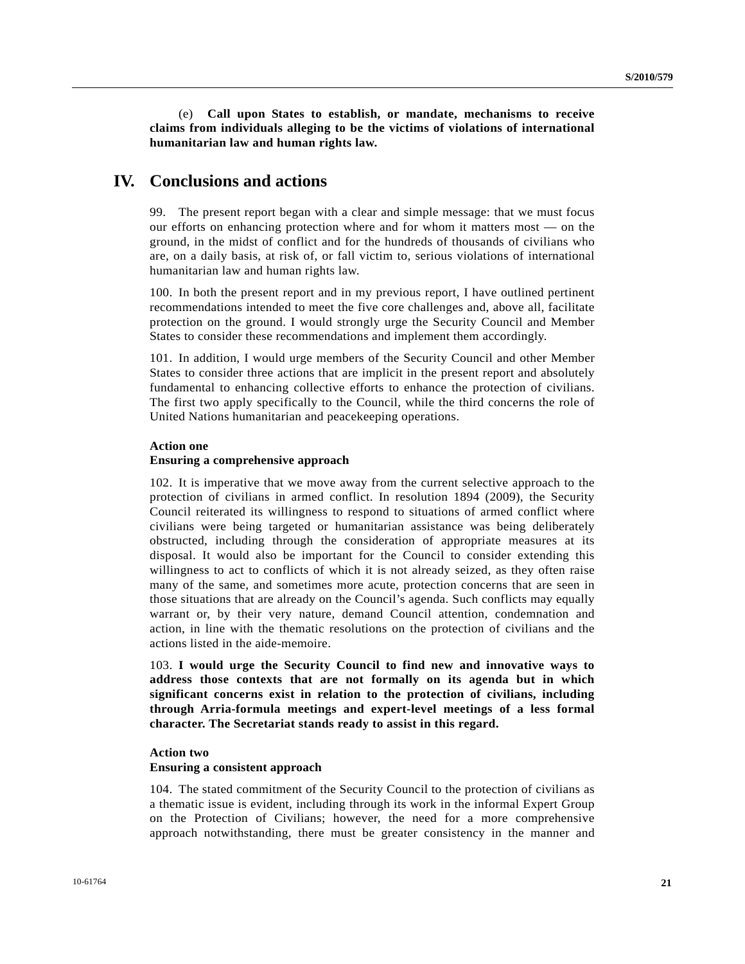(e) **Call upon States to establish, or mandate, mechanisms to receive claims from individuals alleging to be the victims of violations of international humanitarian law and human rights law.** 

## **IV. Conclusions and actions**

99. The present report began with a clear and simple message: that we must focus our efforts on enhancing protection where and for whom it matters most — on the ground, in the midst of conflict and for the hundreds of thousands of civilians who are, on a daily basis, at risk of, or fall victim to, serious violations of international humanitarian law and human rights law.

100. In both the present report and in my previous report, I have outlined pertinent recommendations intended to meet the five core challenges and, above all, facilitate protection on the ground. I would strongly urge the Security Council and Member States to consider these recommendations and implement them accordingly.

101. In addition, I would urge members of the Security Council and other Member States to consider three actions that are implicit in the present report and absolutely fundamental to enhancing collective efforts to enhance the protection of civilians. The first two apply specifically to the Council, while the third concerns the role of United Nations humanitarian and peacekeeping operations.

#### **Action one**

#### **Ensuring a comprehensive approach**

102. It is imperative that we move away from the current selective approach to the protection of civilians in armed conflict. In resolution 1894 (2009), the Security Council reiterated its willingness to respond to situations of armed conflict where civilians were being targeted or humanitarian assistance was being deliberately obstructed, including through the consideration of appropriate measures at its disposal. It would also be important for the Council to consider extending this willingness to act to conflicts of which it is not already seized, as they often raise many of the same, and sometimes more acute, protection concerns that are seen in those situations that are already on the Council's agenda. Such conflicts may equally warrant or, by their very nature, demand Council attention, condemnation and action, in line with the thematic resolutions on the protection of civilians and the actions listed in the aide-memoire.

103. **I would urge the Security Council to find new and innovative ways to address those contexts that are not formally on its agenda but in which significant concerns exist in relation to the protection of civilians, including through Arria-formula meetings and expert-level meetings of a less formal character. The Secretariat stands ready to assist in this regard.** 

### **Action two Ensuring a consistent approach**

104. The stated commitment of the Security Council to the protection of civilians as a thematic issue is evident, including through its work in the informal Expert Group on the Protection of Civilians; however, the need for a more comprehensive approach notwithstanding, there must be greater consistency in the manner and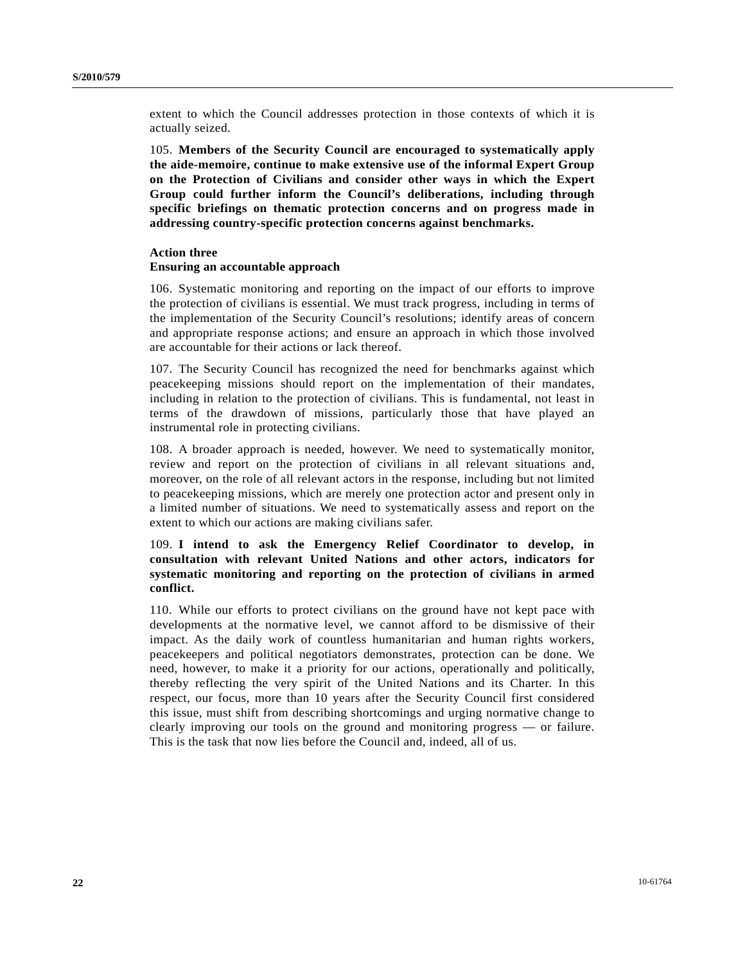extent to which the Council addresses protection in those contexts of which it is actually seized.

105. **Members of the Security Council are encouraged to systematically apply the aide-memoire, continue to make extensive use of the informal Expert Group on the Protection of Civilians and consider other ways in which the Expert Group could further inform the Council's deliberations, including through specific briefings on thematic protection concerns and on progress made in addressing country-specific protection concerns against benchmarks.** 

#### **Action three**

#### **Ensuring an accountable approach**

106. Systematic monitoring and reporting on the impact of our efforts to improve the protection of civilians is essential. We must track progress, including in terms of the implementation of the Security Council's resolutions; identify areas of concern and appropriate response actions; and ensure an approach in which those involved are accountable for their actions or lack thereof.

107. The Security Council has recognized the need for benchmarks against which peacekeeping missions should report on the implementation of their mandates, including in relation to the protection of civilians. This is fundamental, not least in terms of the drawdown of missions, particularly those that have played an instrumental role in protecting civilians.

108. A broader approach is needed, however. We need to systematically monitor, review and report on the protection of civilians in all relevant situations and, moreover, on the role of all relevant actors in the response, including but not limited to peacekeeping missions, which are merely one protection actor and present only in a limited number of situations. We need to systematically assess and report on the extent to which our actions are making civilians safer.

### 109. **I intend to ask the Emergency Relief Coordinator to develop, in consultation with relevant United Nations and other actors, indicators for systematic monitoring and reporting on the protection of civilians in armed conflict.**

110. While our efforts to protect civilians on the ground have not kept pace with developments at the normative level, we cannot afford to be dismissive of their impact. As the daily work of countless humanitarian and human rights workers, peacekeepers and political negotiators demonstrates, protection can be done. We need, however, to make it a priority for our actions, operationally and politically, thereby reflecting the very spirit of the United Nations and its Charter. In this respect, our focus, more than 10 years after the Security Council first considered this issue, must shift from describing shortcomings and urging normative change to clearly improving our tools on the ground and monitoring progress — or failure. This is the task that now lies before the Council and, indeed, all of us.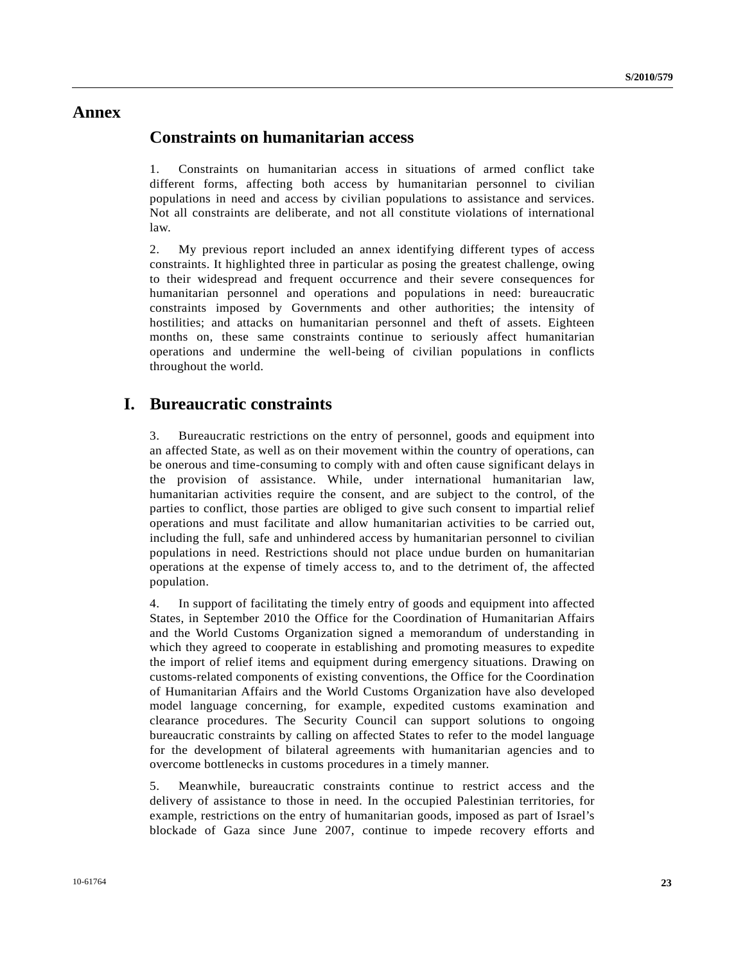## **Annex**

## **Constraints on humanitarian access**

1. Constraints on humanitarian access in situations of armed conflict take different forms, affecting both access by humanitarian personnel to civilian populations in need and access by civilian populations to assistance and services. Not all constraints are deliberate, and not all constitute violations of international law.

2. My previous report included an annex identifying different types of access constraints. It highlighted three in particular as posing the greatest challenge, owing to their widespread and frequent occurrence and their severe consequences for humanitarian personnel and operations and populations in need: bureaucratic constraints imposed by Governments and other authorities; the intensity of hostilities; and attacks on humanitarian personnel and theft of assets. Eighteen months on, these same constraints continue to seriously affect humanitarian operations and undermine the well-being of civilian populations in conflicts throughout the world.

## **I. Bureaucratic constraints**

3. Bureaucratic restrictions on the entry of personnel, goods and equipment into an affected State, as well as on their movement within the country of operations, can be onerous and time-consuming to comply with and often cause significant delays in the provision of assistance. While, under international humanitarian law, humanitarian activities require the consent, and are subject to the control, of the parties to conflict, those parties are obliged to give such consent to impartial relief operations and must facilitate and allow humanitarian activities to be carried out, including the full, safe and unhindered access by humanitarian personnel to civilian populations in need. Restrictions should not place undue burden on humanitarian operations at the expense of timely access to, and to the detriment of, the affected population.

4. In support of facilitating the timely entry of goods and equipment into affected States, in September 2010 the Office for the Coordination of Humanitarian Affairs and the World Customs Organization signed a memorandum of understanding in which they agreed to cooperate in establishing and promoting measures to expedite the import of relief items and equipment during emergency situations. Drawing on customs-related components of existing conventions, the Office for the Coordination of Humanitarian Affairs and the World Customs Organization have also developed model language concerning, for example, expedited customs examination and clearance procedures. The Security Council can support solutions to ongoing bureaucratic constraints by calling on affected States to refer to the model language for the development of bilateral agreements with humanitarian agencies and to overcome bottlenecks in customs procedures in a timely manner.

5. Meanwhile, bureaucratic constraints continue to restrict access and the delivery of assistance to those in need. In the occupied Palestinian territories, for example, restrictions on the entry of humanitarian goods, imposed as part of Israel's blockade of Gaza since June 2007, continue to impede recovery efforts and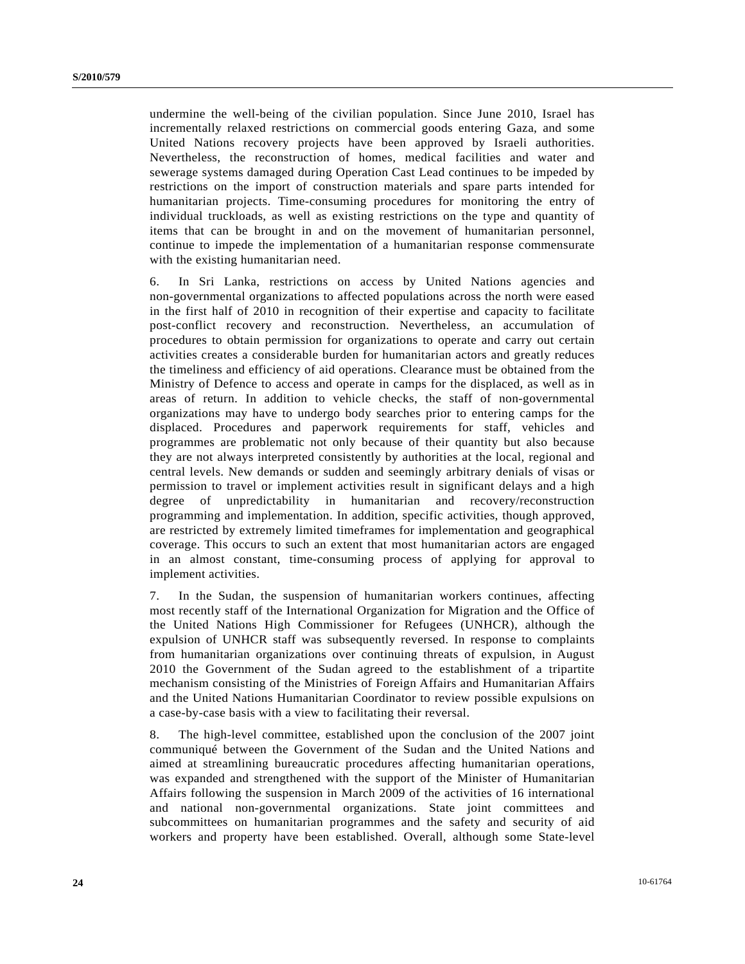undermine the well-being of the civilian population. Since June 2010, Israel has incrementally relaxed restrictions on commercial goods entering Gaza, and some United Nations recovery projects have been approved by Israeli authorities. Nevertheless, the reconstruction of homes, medical facilities and water and sewerage systems damaged during Operation Cast Lead continues to be impeded by restrictions on the import of construction materials and spare parts intended for humanitarian projects. Time-consuming procedures for monitoring the entry of individual truckloads, as well as existing restrictions on the type and quantity of items that can be brought in and on the movement of humanitarian personnel, continue to impede the implementation of a humanitarian response commensurate with the existing humanitarian need.

6. In Sri Lanka, restrictions on access by United Nations agencies and non-governmental organizations to affected populations across the north were eased in the first half of 2010 in recognition of their expertise and capacity to facilitate post-conflict recovery and reconstruction. Nevertheless, an accumulation of procedures to obtain permission for organizations to operate and carry out certain activities creates a considerable burden for humanitarian actors and greatly reduces the timeliness and efficiency of aid operations. Clearance must be obtained from the Ministry of Defence to access and operate in camps for the displaced, as well as in areas of return. In addition to vehicle checks, the staff of non-governmental organizations may have to undergo body searches prior to entering camps for the displaced. Procedures and paperwork requirements for staff, vehicles and programmes are problematic not only because of their quantity but also because they are not always interpreted consistently by authorities at the local, regional and central levels. New demands or sudden and seemingly arbitrary denials of visas or permission to travel or implement activities result in significant delays and a high degree of unpredictability in humanitarian and recovery/reconstruction programming and implementation. In addition, specific activities, though approved, are restricted by extremely limited timeframes for implementation and geographical coverage. This occurs to such an extent that most humanitarian actors are engaged in an almost constant, time-consuming process of applying for approval to implement activities.

7. In the Sudan, the suspension of humanitarian workers continues, affecting most recently staff of the International Organization for Migration and the Office of the United Nations High Commissioner for Refugees (UNHCR), although the expulsion of UNHCR staff was subsequently reversed. In response to complaints from humanitarian organizations over continuing threats of expulsion, in August 2010 the Government of the Sudan agreed to the establishment of a tripartite mechanism consisting of the Ministries of Foreign Affairs and Humanitarian Affairs and the United Nations Humanitarian Coordinator to review possible expulsions on a case-by-case basis with a view to facilitating their reversal.

8. The high-level committee, established upon the conclusion of the 2007 joint communiqué between the Government of the Sudan and the United Nations and aimed at streamlining bureaucratic procedures affecting humanitarian operations, was expanded and strengthened with the support of the Minister of Humanitarian Affairs following the suspension in March 2009 of the activities of 16 international and national non-governmental organizations. State joint committees and subcommittees on humanitarian programmes and the safety and security of aid workers and property have been established. Overall, although some State-level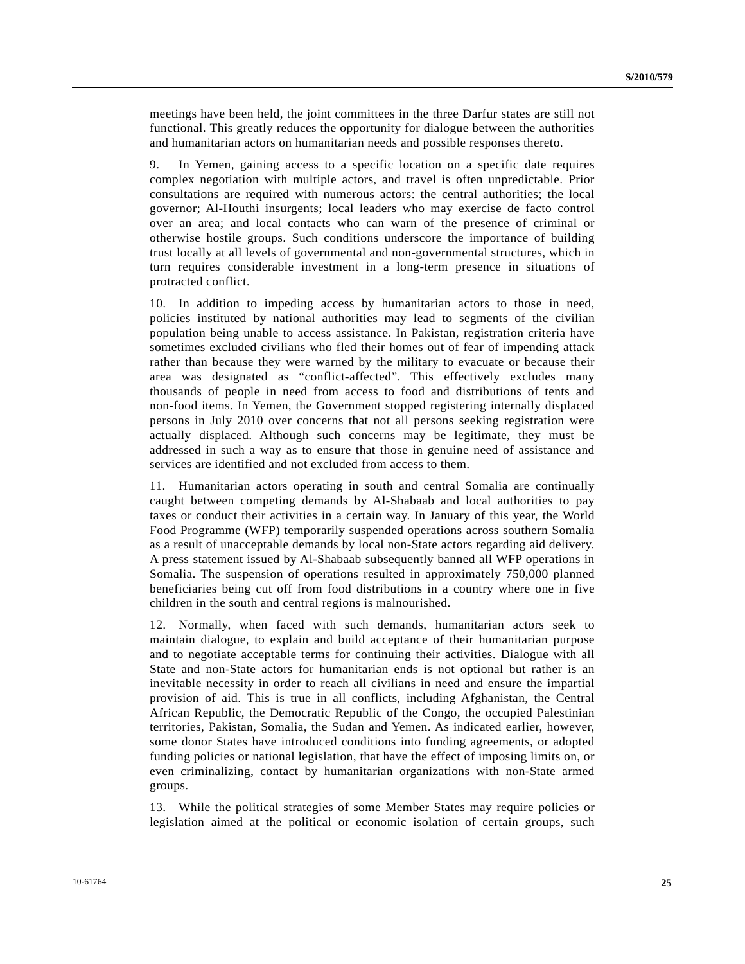meetings have been held, the joint committees in the three Darfur states are still not functional. This greatly reduces the opportunity for dialogue between the authorities and humanitarian actors on humanitarian needs and possible responses thereto.

9. In Yemen, gaining access to a specific location on a specific date requires complex negotiation with multiple actors, and travel is often unpredictable. Prior consultations are required with numerous actors: the central authorities; the local governor; Al-Houthi insurgents; local leaders who may exercise de facto control over an area; and local contacts who can warn of the presence of criminal or otherwise hostile groups. Such conditions underscore the importance of building trust locally at all levels of governmental and non-governmental structures, which in turn requires considerable investment in a long-term presence in situations of protracted conflict.

10. In addition to impeding access by humanitarian actors to those in need, policies instituted by national authorities may lead to segments of the civilian population being unable to access assistance. In Pakistan, registration criteria have sometimes excluded civilians who fled their homes out of fear of impending attack rather than because they were warned by the military to evacuate or because their area was designated as "conflict-affected". This effectively excludes many thousands of people in need from access to food and distributions of tents and non-food items. In Yemen, the Government stopped registering internally displaced persons in July 2010 over concerns that not all persons seeking registration were actually displaced. Although such concerns may be legitimate, they must be addressed in such a way as to ensure that those in genuine need of assistance and services are identified and not excluded from access to them.

11. Humanitarian actors operating in south and central Somalia are continually caught between competing demands by Al-Shabaab and local authorities to pay taxes or conduct their activities in a certain way. In January of this year, the World Food Programme (WFP) temporarily suspended operations across southern Somalia as a result of unacceptable demands by local non-State actors regarding aid delivery. A press statement issued by Al-Shabaab subsequently banned all WFP operations in Somalia. The suspension of operations resulted in approximately 750,000 planned beneficiaries being cut off from food distributions in a country where one in five children in the south and central regions is malnourished.

12. Normally, when faced with such demands, humanitarian actors seek to maintain dialogue, to explain and build acceptance of their humanitarian purpose and to negotiate acceptable terms for continuing their activities. Dialogue with all State and non-State actors for humanitarian ends is not optional but rather is an inevitable necessity in order to reach all civilians in need and ensure the impartial provision of aid. This is true in all conflicts, including Afghanistan, the Central African Republic, the Democratic Republic of the Congo, the occupied Palestinian territories, Pakistan, Somalia, the Sudan and Yemen. As indicated earlier, however, some donor States have introduced conditions into funding agreements, or adopted funding policies or national legislation, that have the effect of imposing limits on, or even criminalizing, contact by humanitarian organizations with non-State armed groups.

13. While the political strategies of some Member States may require policies or legislation aimed at the political or economic isolation of certain groups, such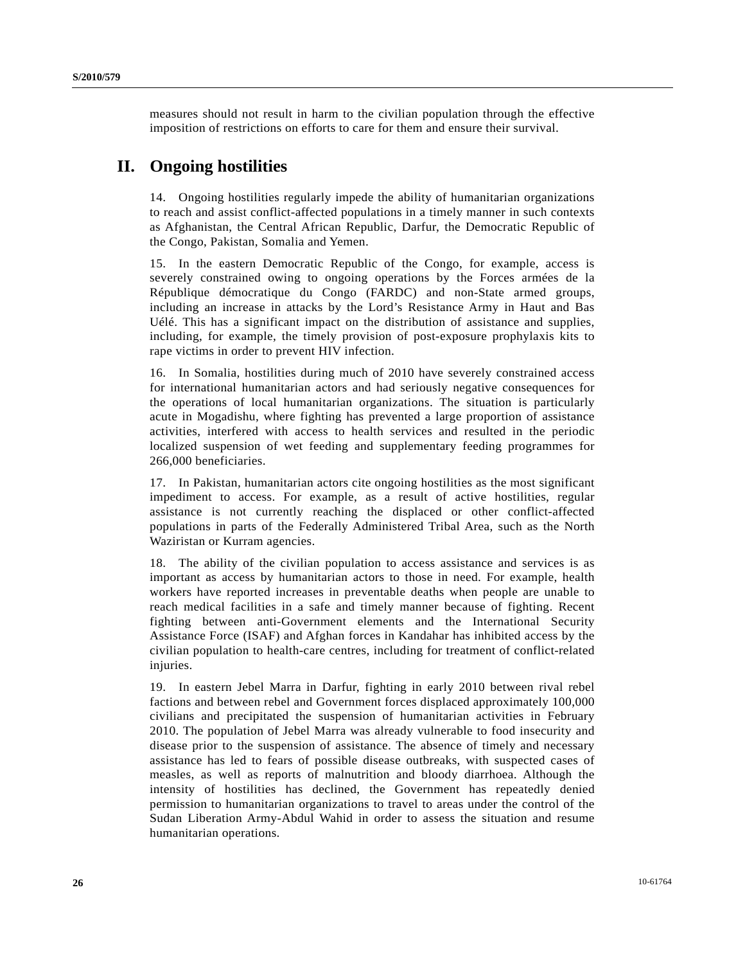measures should not result in harm to the civilian population through the effective imposition of restrictions on efforts to care for them and ensure their survival.

# **II. Ongoing hostilities**

14. Ongoing hostilities regularly impede the ability of humanitarian organizations to reach and assist conflict-affected populations in a timely manner in such contexts as Afghanistan, the Central African Republic, Darfur, the Democratic Republic of the Congo, Pakistan, Somalia and Yemen.

15. In the eastern Democratic Republic of the Congo, for example, access is severely constrained owing to ongoing operations by the Forces armées de la République démocratique du Congo (FARDC) and non-State armed groups, including an increase in attacks by the Lord's Resistance Army in Haut and Bas Uélé. This has a significant impact on the distribution of assistance and supplies, including, for example, the timely provision of post-exposure prophylaxis kits to rape victims in order to prevent HIV infection.

16. In Somalia, hostilities during much of 2010 have severely constrained access for international humanitarian actors and had seriously negative consequences for the operations of local humanitarian organizations. The situation is particularly acute in Mogadishu, where fighting has prevented a large proportion of assistance activities, interfered with access to health services and resulted in the periodic localized suspension of wet feeding and supplementary feeding programmes for 266,000 beneficiaries.

17. In Pakistan, humanitarian actors cite ongoing hostilities as the most significant impediment to access. For example, as a result of active hostilities, regular assistance is not currently reaching the displaced or other conflict-affected populations in parts of the Federally Administered Tribal Area, such as the North Waziristan or Kurram agencies.

18. The ability of the civilian population to access assistance and services is as important as access by humanitarian actors to those in need. For example, health workers have reported increases in preventable deaths when people are unable to reach medical facilities in a safe and timely manner because of fighting. Recent fighting between anti-Government elements and the International Security Assistance Force (ISAF) and Afghan forces in Kandahar has inhibited access by the civilian population to health-care centres, including for treatment of conflict-related injuries.

19. In eastern Jebel Marra in Darfur, fighting in early 2010 between rival rebel factions and between rebel and Government forces displaced approximately 100,000 civilians and precipitated the suspension of humanitarian activities in February 2010. The population of Jebel Marra was already vulnerable to food insecurity and disease prior to the suspension of assistance. The absence of timely and necessary assistance has led to fears of possible disease outbreaks, with suspected cases of measles, as well as reports of malnutrition and bloody diarrhoea. Although the intensity of hostilities has declined, the Government has repeatedly denied permission to humanitarian organizations to travel to areas under the control of the Sudan Liberation Army-Abdul Wahid in order to assess the situation and resume humanitarian operations.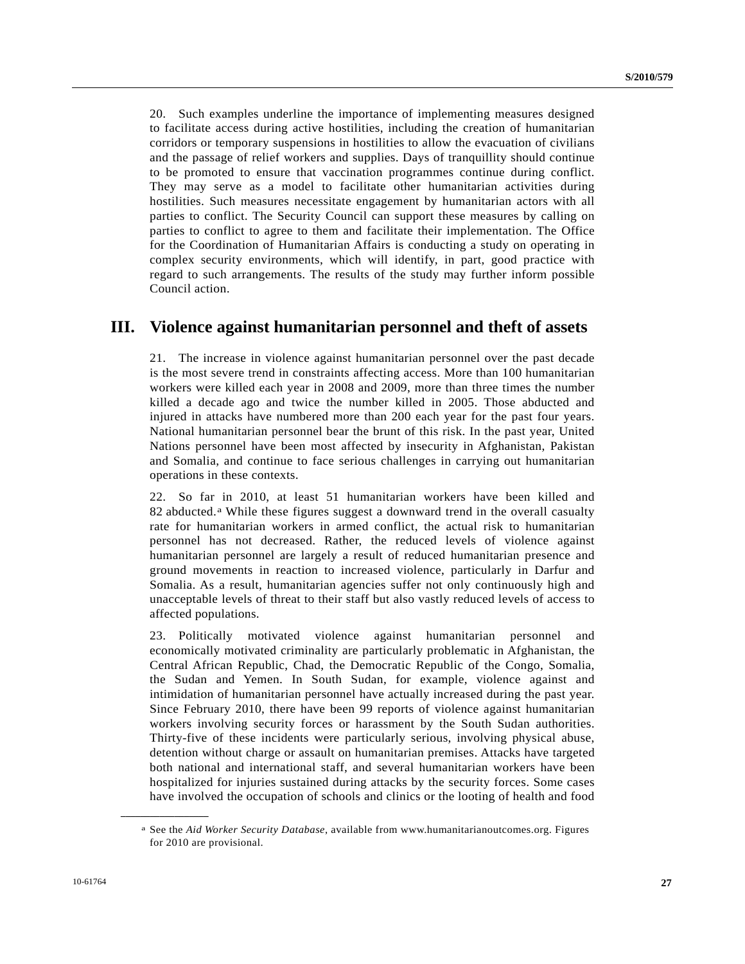20. Such examples underline the importance of implementing measures designed to facilitate access during active hostilities, including the creation of humanitarian corridors or temporary suspensions in hostilities to allow the evacuation of civilians and the passage of relief workers and supplies. Days of tranquillity should continue to be promoted to ensure that vaccination programmes continue during conflict. They may serve as a model to facilitate other humanitarian activities during hostilities. Such measures necessitate engagement by humanitarian actors with all parties to conflict. The Security Council can support these measures by calling on parties to conflict to agree to them and facilitate their implementation. The Office for the Coordination of Humanitarian Affairs is conducting a study on operating in complex security environments, which will identify, in part, good practice with regard to such arrangements. The results of the study may further inform possible Council action.

## **III. Violence against humanitarian personnel and theft of assets**

21. The increase in violence against humanitarian personnel over the past decade is the most severe trend in constraints affecting access. More than 100 humanitarian workers were killed each year in 2008 and 2009, more than three times the number killed a decade ago and twice the number killed in 2005. Those abducted and injured in attacks have numbered more than 200 each year for the past four years. National humanitarian personnel bear the brunt of this risk. In the past year, United Nations personnel have been most affected by insecurity in Afghanistan, Pakistan and Somalia, and continue to face serious challenges in carrying out humanitarian operations in these contexts.

22. So far in 2010, at least 51 humanitarian workers have been killed and 82 abducted.[a](#page-26-0) While these figures suggest a downward trend in the overall casualty rate for humanitarian workers in armed conflict, the actual risk to humanitarian personnel has not decreased. Rather, the reduced levels of violence against humanitarian personnel are largely a result of reduced humanitarian presence and ground movements in reaction to increased violence, particularly in Darfur and Somalia. As a result, humanitarian agencies suffer not only continuously high and unacceptable levels of threat to their staff but also vastly reduced levels of access to affected populations.

23. Politically motivated violence against humanitarian personnel and economically motivated criminality are particularly problematic in Afghanistan, the Central African Republic, Chad, the Democratic Republic of the Congo, Somalia, the Sudan and Yemen. In South Sudan, for example, violence against and intimidation of humanitarian personnel have actually increased during the past year. Since February 2010, there have been 99 reports of violence against humanitarian workers involving security forces or harassment by the South Sudan authorities. Thirty-five of these incidents were particularly serious, involving physical abuse, detention without charge or assault on humanitarian premises. Attacks have targeted both national and international staff, and several humanitarian workers have been hospitalized for injuries sustained during attacks by the security forces. Some cases have involved the occupation of schools and clinics or the looting of health and food

<span id="page-26-0"></span>**\_\_\_\_\_\_\_\_\_\_\_\_\_\_\_\_\_\_** 

a See the *Aid Worker Security Database*, available from www.humanitarianoutcomes.org. Figures for 2010 are provisional.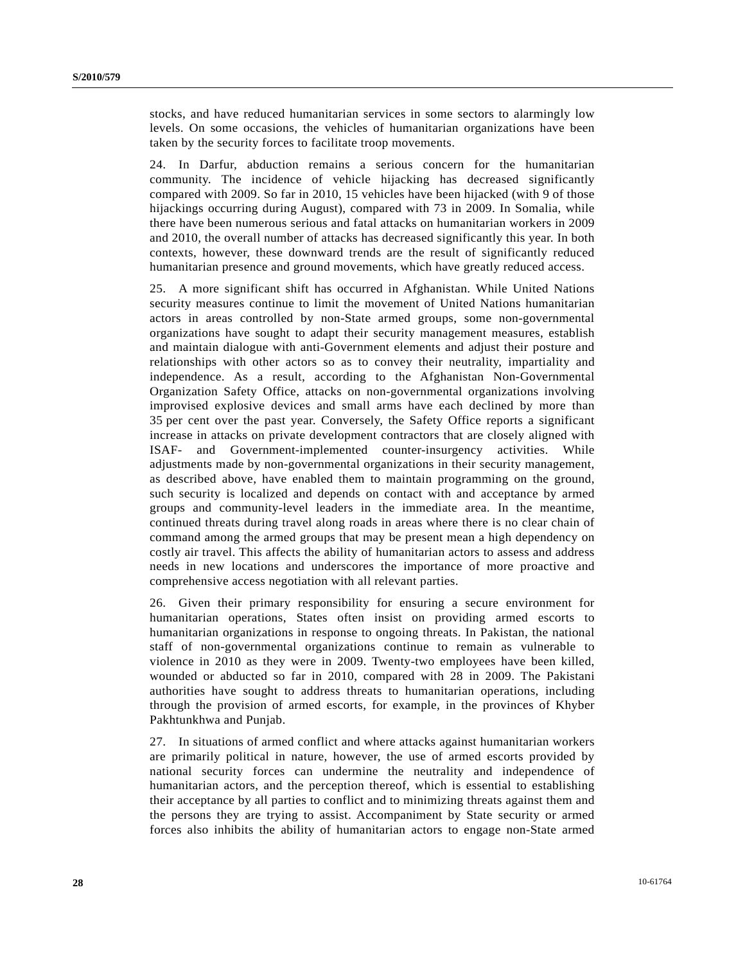stocks, and have reduced humanitarian services in some sectors to alarmingly low levels. On some occasions, the vehicles of humanitarian organizations have been taken by the security forces to facilitate troop movements.

24. In Darfur, abduction remains a serious concern for the humanitarian community. The incidence of vehicle hijacking has decreased significantly compared with 2009. So far in 2010, 15 vehicles have been hijacked (with 9 of those hijackings occurring during August), compared with 73 in 2009. In Somalia, while there have been numerous serious and fatal attacks on humanitarian workers in 2009 and 2010, the overall number of attacks has decreased significantly this year. In both contexts, however, these downward trends are the result of significantly reduced humanitarian presence and ground movements, which have greatly reduced access.

25. A more significant shift has occurred in Afghanistan. While United Nations security measures continue to limit the movement of United Nations humanitarian actors in areas controlled by non-State armed groups, some non-governmental organizations have sought to adapt their security management measures, establish and maintain dialogue with anti-Government elements and adjust their posture and relationships with other actors so as to convey their neutrality, impartiality and independence. As a result, according to the Afghanistan Non-Governmental Organization Safety Office, attacks on non-governmental organizations involving improvised explosive devices and small arms have each declined by more than 35 per cent over the past year. Conversely, the Safety Office reports a significant increase in attacks on private development contractors that are closely aligned with ISAF- and Government-implemented counter-insurgency activities. While adjustments made by non-governmental organizations in their security management, as described above, have enabled them to maintain programming on the ground, such security is localized and depends on contact with and acceptance by armed groups and community-level leaders in the immediate area. In the meantime, continued threats during travel along roads in areas where there is no clear chain of command among the armed groups that may be present mean a high dependency on costly air travel. This affects the ability of humanitarian actors to assess and address needs in new locations and underscores the importance of more proactive and comprehensive access negotiation with all relevant parties.

26. Given their primary responsibility for ensuring a secure environment for humanitarian operations, States often insist on providing armed escorts to humanitarian organizations in response to ongoing threats. In Pakistan, the national staff of non-governmental organizations continue to remain as vulnerable to violence in 2010 as they were in 2009. Twenty-two employees have been killed, wounded or abducted so far in 2010, compared with 28 in 2009. The Pakistani authorities have sought to address threats to humanitarian operations, including through the provision of armed escorts, for example, in the provinces of Khyber Pakhtunkhwa and Punjab.

27. In situations of armed conflict and where attacks against humanitarian workers are primarily political in nature, however, the use of armed escorts provided by national security forces can undermine the neutrality and independence of humanitarian actors, and the perception thereof, which is essential to establishing their acceptance by all parties to conflict and to minimizing threats against them and the persons they are trying to assist. Accompaniment by State security or armed forces also inhibits the ability of humanitarian actors to engage non-State armed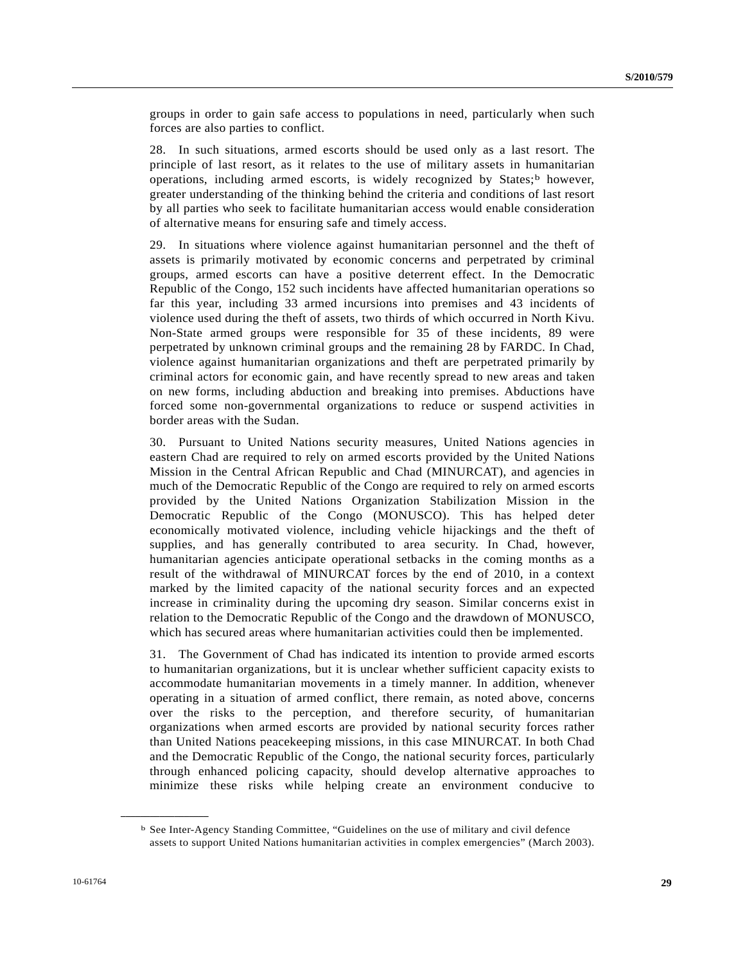groups in order to gain safe access to populations in need, particularly when such forces are also parties to conflict.

28. In such situations, armed escorts should be used only as a last resort. The principle of last resort, as it relates to the use of military assets in humanitarian operations, including armed escorts, is widely recognized by States; [b](#page-28-0) however, greater understanding of the thinking behind the criteria and conditions of last resort by all parties who seek to facilitate humanitarian access would enable consideration of alternative means for ensuring safe and timely access.

29. In situations where violence against humanitarian personnel and the theft of assets is primarily motivated by economic concerns and perpetrated by criminal groups, armed escorts can have a positive deterrent effect. In the Democratic Republic of the Congo, 152 such incidents have affected humanitarian operations so far this year, including 33 armed incursions into premises and 43 incidents of violence used during the theft of assets, two thirds of which occurred in North Kivu. Non-State armed groups were responsible for 35 of these incidents, 89 were perpetrated by unknown criminal groups and the remaining 28 by FARDC. In Chad, violence against humanitarian organizations and theft are perpetrated primarily by criminal actors for economic gain, and have recently spread to new areas and taken on new forms, including abduction and breaking into premises. Abductions have forced some non-governmental organizations to reduce or suspend activities in border areas with the Sudan.

30. Pursuant to United Nations security measures, United Nations agencies in eastern Chad are required to rely on armed escorts provided by the United Nations Mission in the Central African Republic and Chad (MINURCAT), and agencies in much of the Democratic Republic of the Congo are required to rely on armed escorts provided by the United Nations Organization Stabilization Mission in the Democratic Republic of the Congo (MONUSCO). This has helped deter economically motivated violence, including vehicle hijackings and the theft of supplies, and has generally contributed to area security. In Chad, however, humanitarian agencies anticipate operational setbacks in the coming months as a result of the withdrawal of MINURCAT forces by the end of 2010, in a context marked by the limited capacity of the national security forces and an expected increase in criminality during the upcoming dry season. Similar concerns exist in relation to the Democratic Republic of the Congo and the drawdown of MONUSCO, which has secured areas where humanitarian activities could then be implemented.

31. The Government of Chad has indicated its intention to provide armed escorts to humanitarian organizations, but it is unclear whether sufficient capacity exists to accommodate humanitarian movements in a timely manner. In addition, whenever operating in a situation of armed conflict, there remain, as noted above, concerns over the risks to the perception, and therefore security, of humanitarian organizations when armed escorts are provided by national security forces rather than United Nations peacekeeping missions, in this case MINURCAT. In both Chad and the Democratic Republic of the Congo, the national security forces, particularly through enhanced policing capacity, should develop alternative approaches to minimize these risks while helping create an environment conducive to

<span id="page-28-0"></span>**\_\_\_\_\_\_\_\_\_\_\_\_\_\_\_\_\_\_** 

b See Inter-Agency Standing Committee, "Guidelines on the use of military and civil defence assets to support United Nations humanitarian activities in complex emergencies" (March 2003).